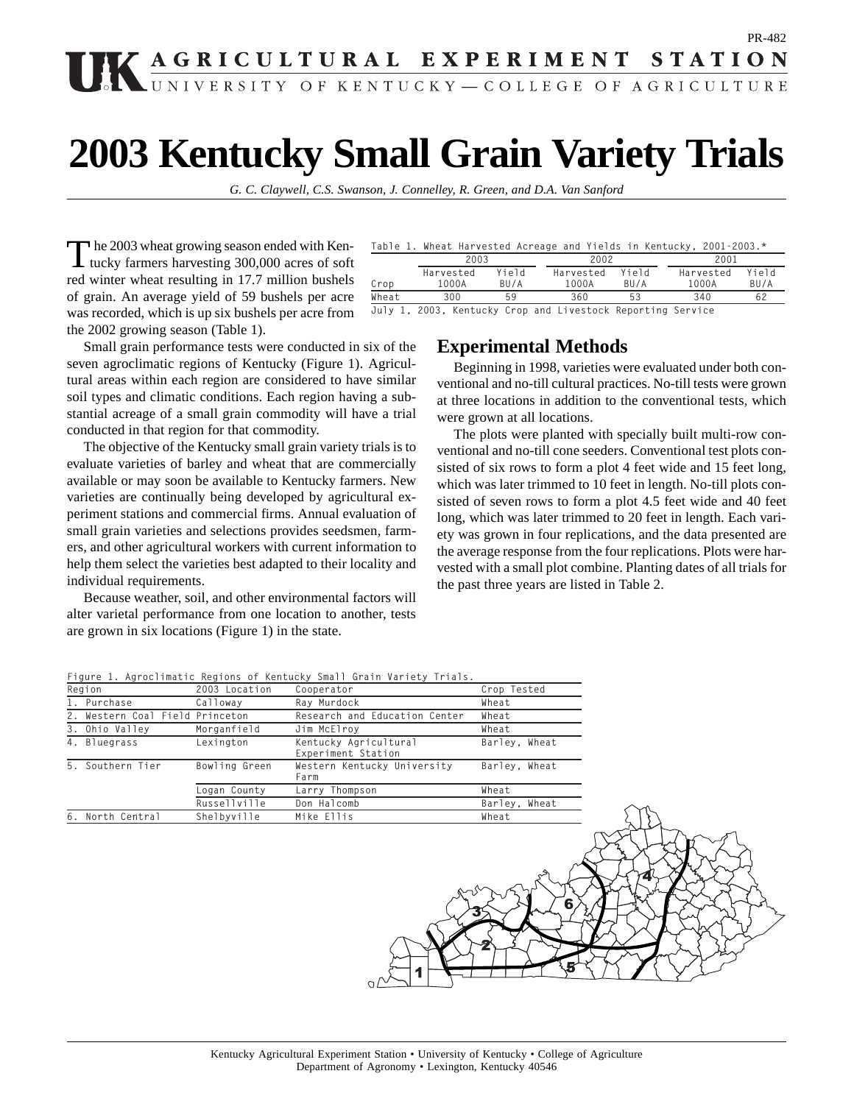# PR-482 **IK AGRICULTURAL EXPERIMENT STATION**

# **2003 Kentucky Small Grain Variety Trials**

*G. C. Claywell, C.S. Swanson, J. Connelley, R. Green, and D.A. Van Sanford*

The 2003 wheat growing season ended with Ken-<br>tucky farmers harvesting 300,000 acres of soft red winter wheat resulting in 17.7 million bushels of grain. An average yield of 59 bushels per acre was recorded, which is up six bushels per acre from the 2002 growing season (Table 1).

Small grain performance tests were conducted in six of the seven agroclimatic regions of Kentucky (Figure 1). Agricultural areas within each region are considered to have similar soil types and climatic conditions. Each region having a substantial acreage of a small grain commodity will have a trial conducted in that region for that commodity.

The objective of the Kentucky small grain variety trials is to evaluate varieties of barley and wheat that are commercially available or may soon be available to Kentucky farmers. New varieties are continually being developed by agricultural experiment stations and commercial firms. Annual evaluation of small grain varieties and selections provides seedsmen, farmers, and other agricultural workers with current information to help them select the varieties best adapted to their locality and individual requirements.

Because weather, soil, and other environmental factors will alter varietal performance from one location to another, tests are grown in six locations (Figure 1) in the state.

|  |  |  |  | Table 1. Wheat Harvested Acreage and Yields in Kentucky, 2001–2003.* |
|--|--|--|--|----------------------------------------------------------------------|
|  |  |  |  |                                                                      |

|       | 2003      |       | 2002      |       | 2001      |       |  |  |
|-------|-----------|-------|-----------|-------|-----------|-------|--|--|
|       | Harvested | hſqiY | Harvested | hſeiY | Harvested | Yield |  |  |
| Crop  | 1000A     | BU/A  | 1000A     | RII/A | 1000A     | BU/A  |  |  |
| Wheat | 300       | 59    | 360       |       | 340       | 62    |  |  |
|       |           |       |           |       |           |       |  |  |

**July 1, 2003, Kentucky Crop and Livestock Reporting Service**

### **Experimental Methods**

Beginning in 1998, varieties were evaluated under both conventional and no-till cultural practices. No-till tests were grown at three locations in addition to the conventional tests, which were grown at all locations.

The plots were planted with specially built multi-row conventional and no-till cone seeders. Conventional test plots consisted of six rows to form a plot 4 feet wide and 15 feet long, which was later trimmed to 10 feet in length. No-till plots consisted of seven rows to form a plot 4.5 feet wide and 40 feet long, which was later trimmed to 20 feet in length. Each variety was grown in four replications, and the data presented are the average response from the four replications. Plots were harvested with a small plot combine. Planting dates of all trials for the past three years are listed in Table 2.

**Figure 1. Agroclimatic Regions of Kentucky Small Grain Variety Trials.**

| Region                          | 2003 Location | Cooperator                                  | Crop Tested   |
|---------------------------------|---------------|---------------------------------------------|---------------|
| 1. Purchase                     | Calloway      | Ray Murdock                                 | Wheat         |
| 2. Western Coal Field Princeton |               | Research and Education Center               | Wheat         |
| 3. Ohio Valley                  | Morganfield   | Jim McElroy                                 | Wheat         |
| 4. Bluegrass                    | Lexington     | Kentucky Agricultural<br>Experiment Station | Barley, Wheat |
| 5. Southern Tier                | Bowling Green | Western Kentucky University<br>Farm         | Barley, Wheat |
|                                 | Logan County  | Larry Thompson                              | Wheat         |
|                                 | Russellville  | Don Halcomb                                 | Barley, Wheat |
| 6. North Central                | Shelbyville   | Mike Ellis                                  | Wheat         |
|                                 |               |                                             |               |

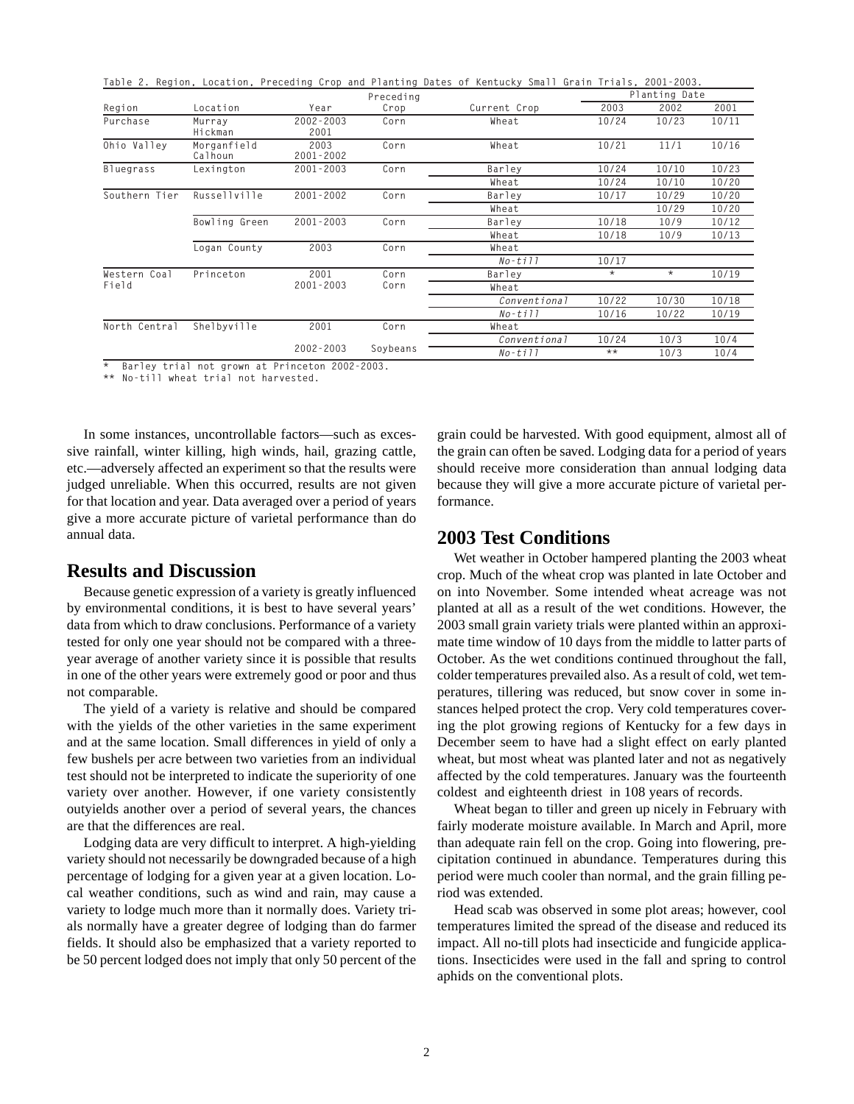|               |                        |                       |           | Table 2. Region, Location, Preceding Crop and Planting Dates of Kentucky Small Grain Trials, 2001–2003. |         |               |       |
|---------------|------------------------|-----------------------|-----------|---------------------------------------------------------------------------------------------------------|---------|---------------|-------|
|               |                        |                       | Preceding |                                                                                                         |         | Planting Date |       |
| Region        | Location               | Year                  | Crop      | Current Crop                                                                                            | 2003    | 2002          | 2001  |
| Purchase      | Murray<br>Hickman      | $2002 - 2003$<br>2001 | Corn      | Wheat                                                                                                   | 10/24   | 10/23         | 10/11 |
| Ohio Valley   | Morganfield<br>Calhoun | 2003<br>$2001 - 2002$ | Corn      | Wheat                                                                                                   | 10/21   | 11/1          | 10/16 |
| Bluegrass     | Lexington              | $2001 - 2003$         | Corn      | Barley                                                                                                  | 10/24   | 10/10         | 10/23 |
|               |                        |                       |           | Wheat                                                                                                   | 10/24   | 10/10         | 10/20 |
| Southern Tier | Russellville           | $2001 - 2002$         | Corn      | Barley                                                                                                  | 10/17   | 10/29         | 10/20 |
|               |                        |                       |           | Wheat                                                                                                   |         | 10/29         | 10/20 |
|               | Bowling Green          | $2001 - 2003$         | Corn      | Barley                                                                                                  | 10/18   | 10/9          | 10/12 |
|               |                        |                       |           | Wheat                                                                                                   | 10/18   | 10/9          | 10/13 |
|               | Logan County           | 2003                  | Corn      | Wheat                                                                                                   |         |               |       |
|               |                        |                       |           | $No-ti11$                                                                                               | 10/17   |               |       |
| Western Coal  | Princeton              | 2001                  | Corn      | Barley                                                                                                  | $\star$ | $\star$       | 10/19 |
| Field         |                        | $2001 - 2003$         | Corn      | Wheat                                                                                                   |         |               |       |
|               |                        |                       |           | Conventional                                                                                            | 10/22   | 10/30         | 10/18 |
|               |                        |                       |           | $No-ti11$                                                                                               | 10/16   | 10/22         | 10/19 |
| North Central | Shelbyville            | 2001                  | Corn      | Wheat                                                                                                   |         |               |       |
|               |                        |                       |           | Conventional                                                                                            | 10/24   | 10/3          | 10/4  |
|               |                        | $2002 - 2003$         | Soybeans  | $No-t111$                                                                                               | $***$   | 10/3          | 10/4  |

**\* Barley trial not grown at Princeton 2002-2003.**

**\*\* No-till wheat trial not harvested.**

In some instances, uncontrollable factors—such as excessive rainfall, winter killing, high winds, hail, grazing cattle, etc.—adversely affected an experiment so that the results were judged unreliable. When this occurred, results are not given for that location and year. Data averaged over a period of years give a more accurate picture of varietal performance than do annual data.

## **Results and Discussion**

Because genetic expression of a variety is greatly influenced by environmental conditions, it is best to have several years' data from which to draw conclusions. Performance of a variety tested for only one year should not be compared with a threeyear average of another variety since it is possible that results in one of the other years were extremely good or poor and thus not comparable.

The yield of a variety is relative and should be compared with the yields of the other varieties in the same experiment and at the same location. Small differences in yield of only a few bushels per acre between two varieties from an individual test should not be interpreted to indicate the superiority of one variety over another. However, if one variety consistently outyields another over a period of several years, the chances are that the differences are real.

Lodging data are very difficult to interpret. A high-yielding variety should not necessarily be downgraded because of a high percentage of lodging for a given year at a given location. Local weather conditions, such as wind and rain, may cause a variety to lodge much more than it normally does. Variety trials normally have a greater degree of lodging than do farmer fields. It should also be emphasized that a variety reported to be 50 percent lodged does not imply that only 50 percent of the

grain could be harvested. With good equipment, almost all of the grain can often be saved. Lodging data for a period of years should receive more consideration than annual lodging data because they will give a more accurate picture of varietal performance.

# **2003 Test Conditions**

Wet weather in October hampered planting the 2003 wheat crop. Much of the wheat crop was planted in late October and on into November. Some intended wheat acreage was not planted at all as a result of the wet conditions. However, the 2003 small grain variety trials were planted within an approximate time window of 10 days from the middle to latter parts of October. As the wet conditions continued throughout the fall, colder temperatures prevailed also. As a result of cold, wet temperatures, tillering was reduced, but snow cover in some instances helped protect the crop. Very cold temperatures covering the plot growing regions of Kentucky for a few days in December seem to have had a slight effect on early planted wheat, but most wheat was planted later and not as negatively affected by the cold temperatures. January was the fourteenth coldest and eighteenth driest in 108 years of records.

Wheat began to tiller and green up nicely in February with fairly moderate moisture available. In March and April, more than adequate rain fell on the crop. Going into flowering, precipitation continued in abundance. Temperatures during this period were much cooler than normal, and the grain filling period was extended.

Head scab was observed in some plot areas; however, cool temperatures limited the spread of the disease and reduced its impact. All no-till plots had insecticide and fungicide applications. Insecticides were used in the fall and spring to control aphids on the conventional plots.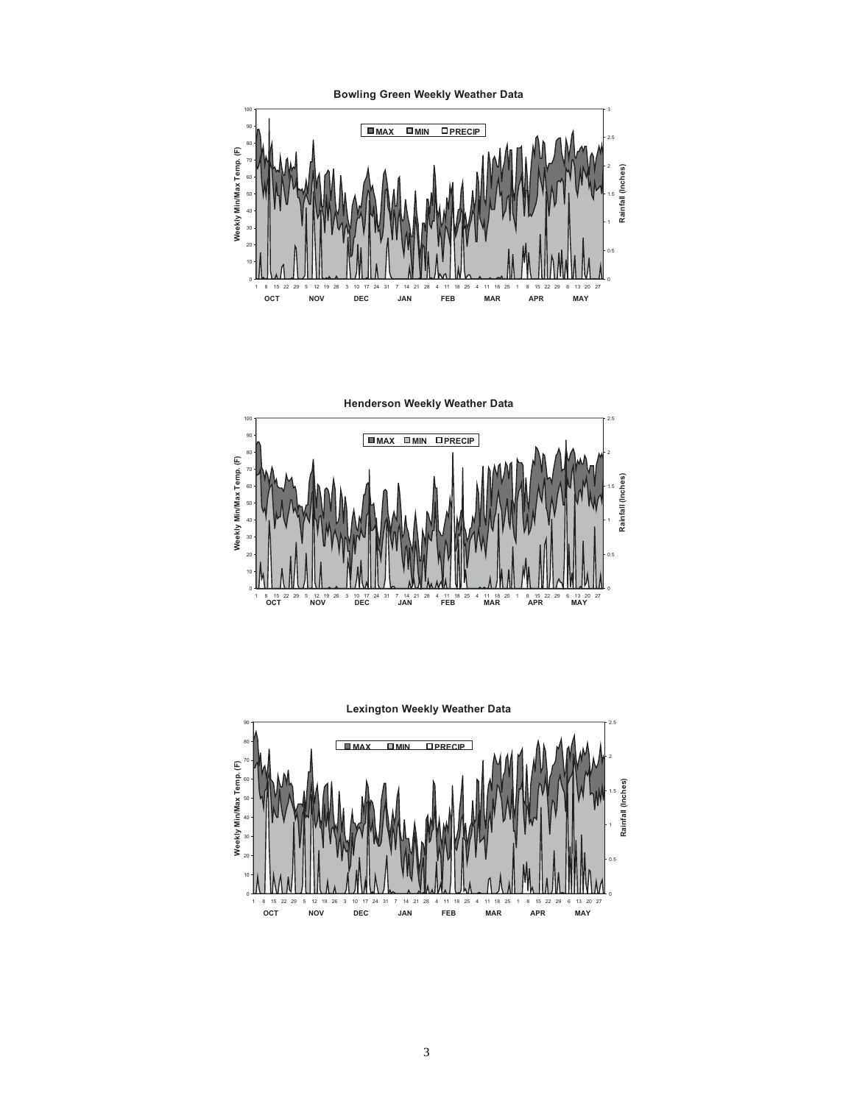



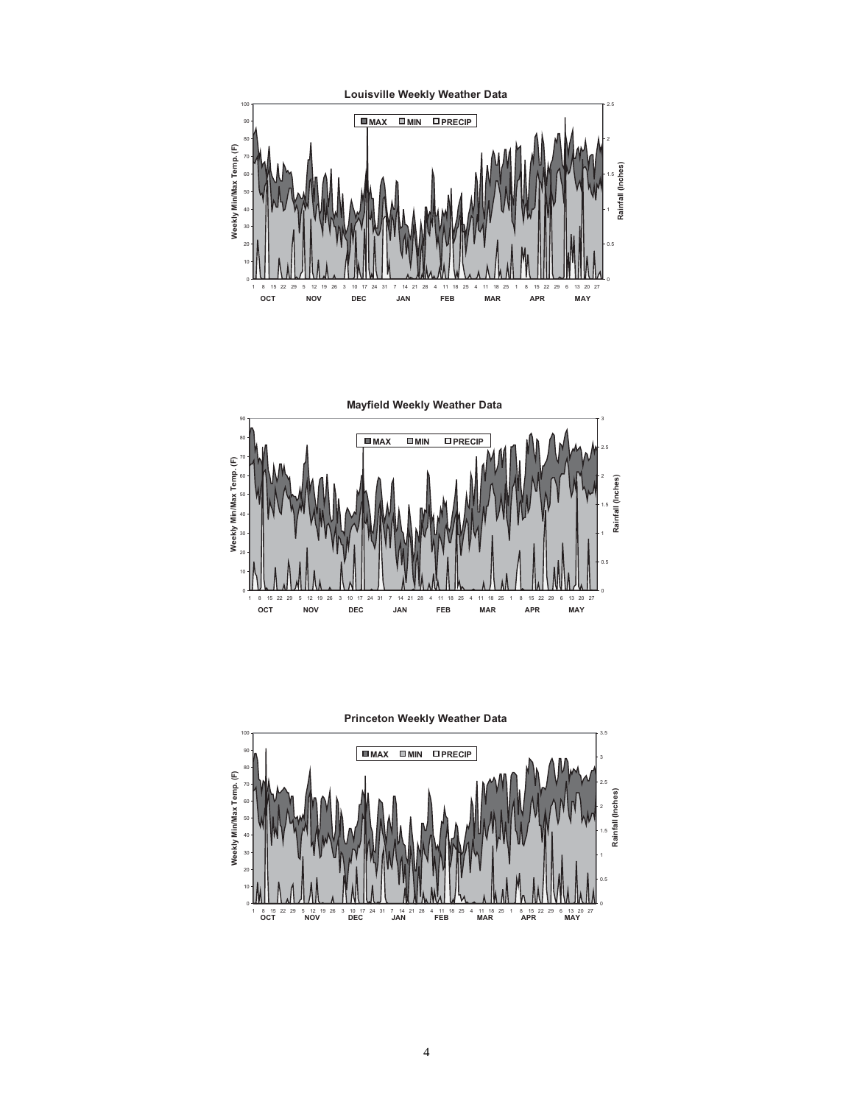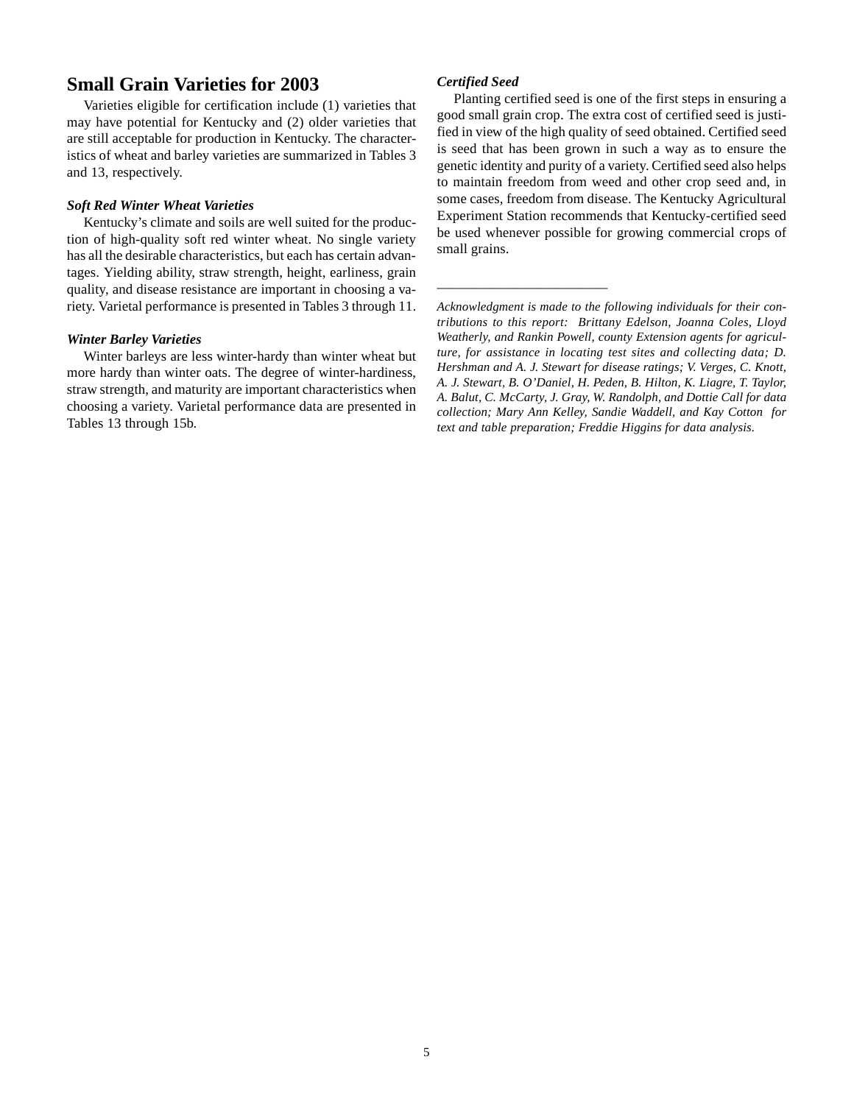# **Small Grain Varieties for 2003**

Varieties eligible for certification include (1) varieties that may have potential for Kentucky and (2) older varieties that are still acceptable for production in Kentucky. The characteristics of wheat and barley varieties are summarized in Tables 3 and 13, respectively.

#### *Soft Red Winter Wheat Varieties*

Kentucky's climate and soils are well suited for the production of high-quality soft red winter wheat. No single variety has all the desirable characteristics, but each has certain advantages. Yielding ability, straw strength, height, earliness, grain quality, and disease resistance are important in choosing a variety. Varietal performance is presented in Tables 3 through 11.

#### *Winter Barley Varieties*

Winter barleys are less winter-hardy than winter wheat but more hardy than winter oats. The degree of winter-hardiness, straw strength, and maturity are important characteristics when choosing a variety. Varietal performance data are presented in Tables 13 through 15b.

#### *Certified Seed*

\_\_\_\_\_\_\_\_\_\_\_\_\_\_\_\_\_\_\_\_\_\_\_\_

Planting certified seed is one of the first steps in ensuring a good small grain crop. The extra cost of certified seed is justified in view of the high quality of seed obtained. Certified seed is seed that has been grown in such a way as to ensure the genetic identity and purity of a variety. Certified seed also helps to maintain freedom from weed and other crop seed and, in some cases, freedom from disease. The Kentucky Agricultural Experiment Station recommends that Kentucky-certified seed be used whenever possible for growing commercial crops of small grains.

*Acknowledgment is made to the following individuals for their contributions to this report: Brittany Edelson, Joanna Coles, Lloyd Weatherly, and Rankin Powell, county Extension agents for agriculture, for assistance in locating test sites and collecting data; D. Hershman and A. J. Stewart for disease ratings; V. Verges, C. Knott, A. J. Stewart, B. O'Daniel, H. Peden, B. Hilton, K. Liagre, T. Taylor, A. Balut, C. McCarty, J. Gray, W. Randolph, and Dottie Call for data collection; Mary Ann Kelley, Sandie Waddell, and Kay Cotton for text and table preparation; Freddie Higgins for data analysis.*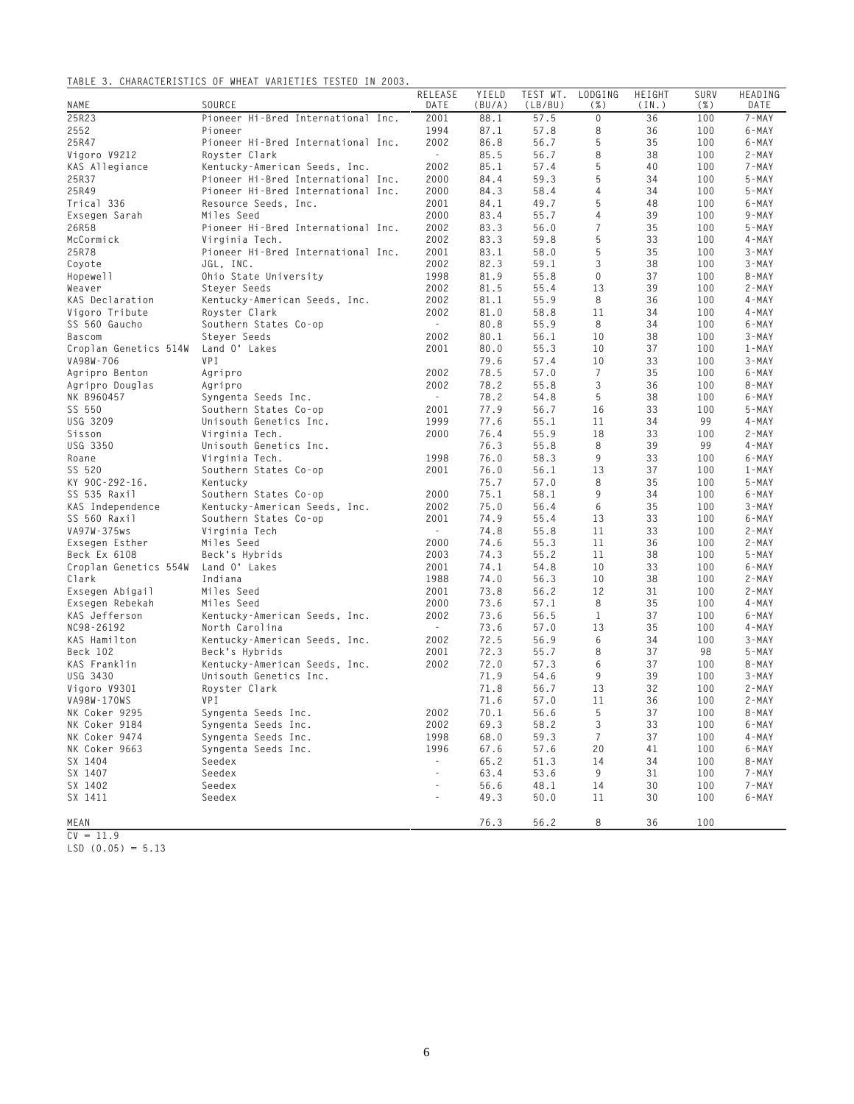#### **TABLE 3. CHARACTERISTICS OF WHEAT VARIETIES TESTED IN 2003.**

| NAME                        | SOURCE                                  | RELEASE<br>DATE          | YIELD<br>(BU/A) | TEST WT.<br>(LB/BU) | LODGING<br>( %) | HEIGHT<br>(IN.) | SURV<br>$(\% )$ | HEADING<br>DATE |
|-----------------------------|-----------------------------------------|--------------------------|-----------------|---------------------|-----------------|-----------------|-----------------|-----------------|
| 25R23                       | Pioneer Hi-Bred International Inc.      | 2001                     | 88.1            | 57.5                | $\mathbf 0$     | 36              | 100             | $7 - MAX$       |
| 2552                        | Pioneer                                 | 1994                     | 87.1            | 57.8                | 8               | 36              | 100             | $6 - MAX$       |
| 25R47                       | Pioneer Hi-Bred International Inc.      | 2002                     | 86.8            | 56.7                | 5               | 35              | 100             | 6-MAY           |
| Vigoro V9212                | Royster Clark                           | $\sim$                   | 85.5            | 56.7                | 8               | 38              | 100             | 2-MAY           |
| KAS Allegiance              | Kentucky-American Seeds, Inc.           | 2002                     | 85.1            | 57.4                | 5               | 40              | 100             | 7 - MAY         |
| 25R37                       | Pioneer Hi-Bred International Inc.      | 2000                     | 84.4            | 59.3                | 5               | 34              | 100             | $5 - MAX$       |
| 25R49                       | Pioneer Hi-Bred International Inc.      | 2000                     | 84.3            | 58.4                | 4               | 34              | 100             | $5 - MAX$       |
| Trical 336                  | Resource Seeds, Inc.                    | 2001                     | 84.1            | 49.7                | 5               | 48              | 100             | $6 - MAX$       |
| Exsegen Sarah               | Miles Seed                              | 2000                     | 83.4            | 55.7                | 4               | 39              | 100             | $9 - MAY$       |
| 26R58                       | Pioneer Hi-Bred International Inc.      | 2002                     | 83.3            | 56.0                | $\overline{7}$  | 35              | 100             | $5 - MAX$       |
| McCormick                   | Virginia Tech.                          | 2002                     | 83.3            | 59.8                | 5               | 33              | 100             | 4 - MAY         |
| 25R78                       | Pioneer Hi-Bred International Inc.      | 2001                     | 83.1            | 58.0                | 5               | 35              | 100             | $3 - MAX$       |
| Coyote                      | JGL. INC.                               | 2002                     | 82.3            | 59.1                | 3               | 38              | 100             | $3 - MAX$       |
| Hopewell                    | Ohio State University                   | 1998                     | 81.9            | 55.8                | 0               | 37              | 100             | $8 - MAX$       |
| Weaver                      | Steyer Seeds                            | 2002                     | 81.5            | 55.4                | 13              | 39              | 100             | 2-MAY           |
| KAS Declaration             | Kentucky-American Seeds, Inc.           | 2002                     | 81.1            | 55.9                | 8               | 36              | 100             | 4 - MAY         |
| Vigoro Tribute              | Royster Clark                           | 2002                     | 81.0            | 58.8                | 11              | 34              | 100             | $4 - MAX$       |
| SS 560 Gaucho               | Southern States Co-op                   | $\sim$                   | 80.8            | 55.9                | 8               | 34              | 100             | 6-MAY           |
| <b>Bascom</b>               | Steyer Seeds                            | 2002                     | 80.1            | 56.1                | 10              | 38              | 100             | $3 - MAX$       |
| Croplan Genetics 514W       | Land O' Lakes                           | 2001                     | 80.0            | 55.3                | 10              | 37              | 100             | $1 - MAX$       |
| VA98W-706                   | <b>VPI</b>                              |                          | 79.6            | 57.4                | 10              | 33              | 100             | $3 - MAX$       |
| Agripro Benton              | Agripro                                 | 2002                     | 78.5            | 57.0                | 7               | 35              | 100             | 6-MAY           |
| Agripro Douglas             | Agripro                                 | 2002                     | 78.2            | 55.8                | 3               | 36              | 100             | 8-MAY           |
| NK B960457                  | Syngenta Seeds Inc.                     | $\sim$                   | 78.2            | 54.8                | 5               | 38              | 100             | 6-MAY           |
| SS 550                      | Southern States Co-op                   | 2001                     | 77.9            | 56.7                | 16              | 33              | 100             | $5 - MAX$       |
| USG 3209                    | Unisouth Genetics Inc.                  | 1999                     | 77.6            | 55.1                | 11              | 34              | 99              | 4 - MAY         |
| Sisson                      | Virginia Tech.                          | 2000                     | 76.4            | 55.9                | 18              | 33              | 100             | 2-MAY           |
| USG 3350                    | Unisouth Genetics Inc.                  |                          | 76.3            | 55.8                | 8               | 39              | 99              | 4 - MAY         |
| Roane                       | Virginia Tech.                          | 1998                     | 76.0            | 58.3                | 9               | 33              | 100             | 6-MAY           |
| SS 520                      | Southern States Co-op                   | 2001                     | 76.0            | 56.1                | 13              | 37              | 100             | 1-MAY           |
| KY 90C-292-16.              | Kentucky                                |                          | 75.7            | 57.0                | 8               | 35              | 100             | $5 - MAX$       |
| SS 535 Raxil                | Southern States Co-op                   | 2000                     | 75.1            | 58.1                | 9               | 34              | 100             | 6-MAY           |
| KAS Independence            | Kentucky-American Seeds, Inc.           | 2002                     | 75.0            | 56.4                | 6               | 35              | 100             | $3 - MAX$       |
| SS 560 Raxil                | Southern States Co-op                   | 2001                     | 74.9            | 55.4                | 13              | 33              | 100             | 6-MAY           |
| VA97W-375ws                 | Virginia Tech                           | $\sim$                   | 74.8            | 55.8                | 11              | 33              | 100             | 2-MAY           |
| Exsegen Esther              | Miles Seed                              | 2000                     | 74.6            | 55.3                | 11              | 36              | 100             | 2-MAY           |
| Beck Ex 6108                | Beck's Hybrids                          | 2003                     | 74.3            | 55.2                | 11              | 38              | 100             | $5 - MAX$       |
| Croplan Genetics 554W       | Land O' Lakes                           | 2001                     | 74.1            | 54.8                | 10              | 33              | 100             | 6-MAY           |
| Clark                       | Indiana                                 | 1988                     | 74.0            | 56.3                | 10              | 38              | 100             | 2-MAY           |
| Exsegen Abigail             | Miles Seed                              | 2001                     | 73.8            | 56.2                | 12              | 31              | 100             | 2-MAY           |
| Exsegen Rebekah             | Miles Seed                              | 2000                     | 73.6            | 57.1                | 8               | 35              | 100             | 4 - MAY         |
| KAS Jefferson               | Kentucky-American Seeds, Inc.           | 2002                     | 73.6            | 56.5                | $\mathbf{1}$    | 37              | 100             | 6-MAY           |
| NC98-26192                  | North Carolina                          | $\sim$                   | 73.6            | 57.0                | 13              | 35              | 100             | 4 - MAY         |
| KAS Hamilton                | Kentucky-American Seeds, Inc.           | 2002                     | 72.5            | 56.9                | 6               | 34              | 100             | $3 - MAX$       |
| Beck 102                    | Beck's Hybrids                          | 2001                     | 72.3            | 55.7                | 8               | 37              | 98              | $5 - MAX$       |
| KAS Franklin<br>USG 3430    | Kentucky-American Seeds, Inc.           | 2002                     | 72.0            | 57.3                | 6<br>9          | 37<br>39        | 100             | 8-MAY           |
|                             | Unisouth Genetics Inc.<br>Royster Clark |                          | 71.9            | 54.6                |                 | 32              | 100             | $3 - MAX$       |
| Vigoro V9301<br>VA98W-170WS | VPI                                     |                          | 71.8<br>71.6    | 56.7<br>57.0        | 13<br>11        | 36              | 100<br>100      | 2-MAY<br>2-MAY  |
| NK Coker 9295               | Syngenta Seeds Inc.                     | 2002                     | 70.1            | 56.6                | - 5             | 37              | 100             | 8-MAY           |
| NK Coker 9184               | Syngenta Seeds Inc.                     | 2002                     | 69.3            | 58.2                | 3               | 33              | 100             | 6-MAY           |
| NK Coker 9474               | Syngenta Seeds Inc.                     | 1998                     | 68.0            | 59.3                | 7               | 37              | 100             | $4 - MAX$       |
| NK Coker 9663               | Syngenta Seeds Inc.                     | 1996                     | 67.6            | 57.6                | 20              | 41              | 100             | 6-MAY           |
| SX 1404                     | Seedex                                  | $\sim$                   | 65.2            | 51.3                | 14              | 34              | 100             | 8-MAY           |
| SX 1407                     | Seedex                                  | $\qquad \qquad -$        | 63.4            | 53.6                | 9               | 31              | 100             | 7 - MAY         |
| SX 1402                     | Seedex                                  | $\overline{\phantom{a}}$ | 56.6            | 48.1                | 14              | 30              | 100             | 7-MAY           |
| SX 1411                     | Seedex                                  | $\overline{\phantom{a}}$ | 49.3            | 50.0                | 11              | 30              | 100             | 6-MAY           |
|                             |                                         |                          |                 |                     |                 |                 |                 |                 |
| MEAN                        |                                         |                          | 76.3            | 56.2                | 8               | 36              | 100             |                 |

**CV = 11.9**

**LSD (0.05) = 5.13**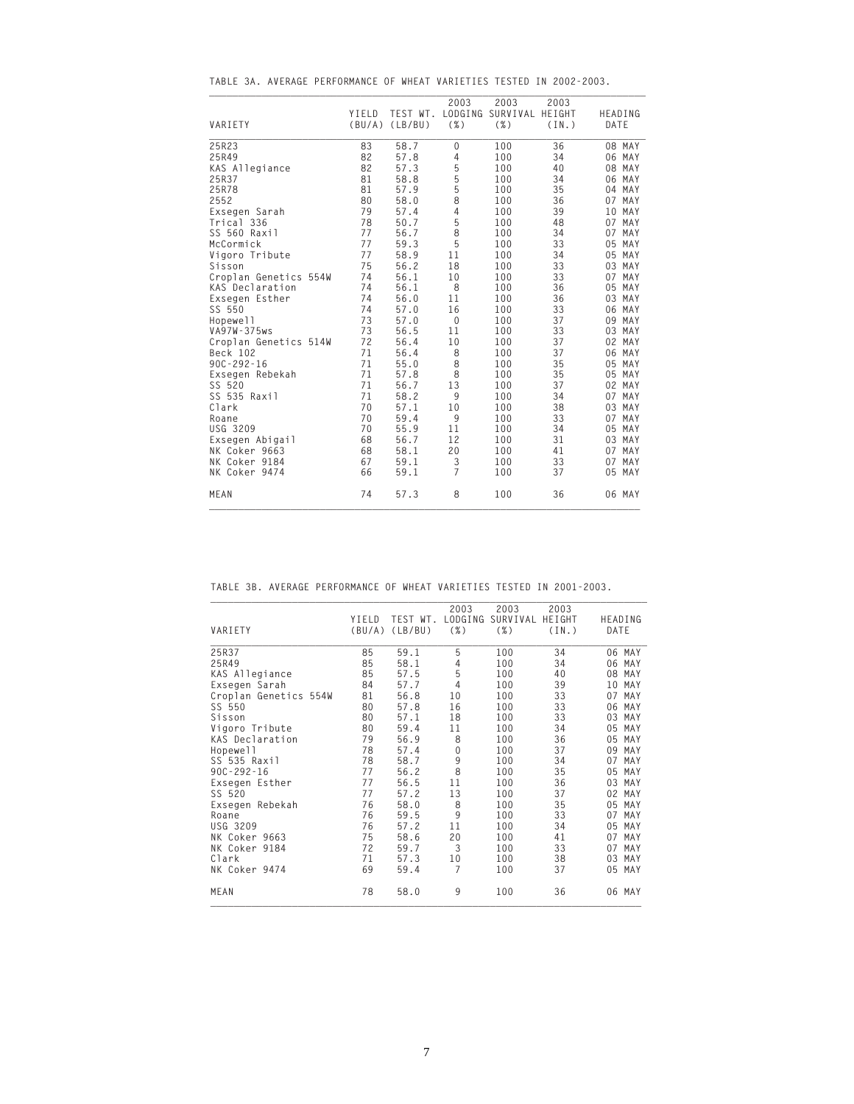| VARIETY               | YIELD | TEST WT.<br>$(BU/A)$ (LB/BU) | 2003<br>LODGING<br>$(\%)$ | 2003<br>SURVIVAL HEIGHT<br>$(\%)$ | 2003<br>(IN.) | HEADING<br>DATE |
|-----------------------|-------|------------------------------|---------------------------|-----------------------------------|---------------|-----------------|
|                       |       |                              |                           |                                   |               |                 |
| 25R23                 | 83    | 58.7                         | 0                         | 100                               | 36            | 08 MAY          |
| 25R49                 | 82    | 57.8                         | $\overline{4}$            | 100                               | 34            | 06 MAY          |
| KAS Allegiance        | 82    | 57.3                         |                           | 100                               | 40            | 08 MAY          |
| 25R37                 | 81    | 58.8                         | 5<br>5<br>5<br>5          | 100                               | 34            | 06 MAY          |
| 25R78                 | 81    | 57.9                         |                           | 100                               | 35            | 04 MAY          |
| 2552                  | 80    | 58.0                         | 8                         | 100                               | 36            | 07 MAY          |
| Exsegen Sarah         | 79    | 57.4                         | $\overline{4}$            | 100                               | 39            | 10 MAY          |
| Trical 336            | 78    | 50.7                         | 5                         | 100                               | 48            | 07 MAY          |
| SS 560 Raxil          | 77    | 56.7                         | $\bar{8}$                 | 100                               | 34            | 07 MAY          |
| McCormick             | 77    | 59.3                         | 5                         | 100                               | 33            | 05 MAY          |
| Vigoro Tribute        | 77    | 58.9                         | 11                        | 100                               | 34            | 05 MAY          |
| Sisson                | 75    | 56.2                         | 18                        | 100                               | 33            | 03 MAY          |
| Croplan Genetics 554W | 74    | 56.1                         | 10                        | 100                               | 33            | 07 MAY          |
| KAS Declaration       | 74    | 56.1                         | 8                         | 100                               | 36            | 05 MAY          |
| Exsegen Esther        | 74    | 56.0                         | 11                        | 100                               | 36            | 03 MAY          |
| SS 550                | 74    | 57.0                         | 16                        | 100                               | 33            | 06 MAY          |
| Hopewell              | 73    | 57.0                         | $\boldsymbol{0}$          | 100                               | 37            | 09 MAY          |
| VA97W-375ws           | 73    | 56.5                         | 11                        | 100                               | 33            | 03 MAY          |
| Croplan Genetics 514W | 72    | 56.4                         | 10                        | 100                               | 37            | 02 MAY          |
| Beck 102              | 71    | 56.4                         | 8                         | 100                               | 37            | 06 MAY          |
| $90C - 292 - 16$      | 71    | 55.0                         | 8                         | 100                               | 35            | 05 MAY          |
| Exsegen Rebekah       | 71    | 57.8                         | 8                         | 100                               | 35            | 05 MAY          |
| SS 520                | 71    | 56.7                         | 13                        | 100                               | 37            | 02 MAY          |
| SS 535 Raxil          | 71    | 58.2                         | 9                         | 100                               | 34            | 07 MAY          |
| Clark                 | 70    | 57.1                         | 10                        | 100                               | 38            | 03 MAY          |
| Roane                 | 70    | 59.4                         | 9                         | 100                               | 33            | 07 MAY          |
| USG 3209              | 70    | 55.9                         | 11                        | 100                               | 34            | 05 MAY          |
| Exsegen Abigail       | 68    | 56.7                         | 12                        | 100                               | 31            | 03 MAY          |
| NK Coker 9663         | 68    | 58.1                         | 20                        | 100                               | 41            | 07 MAY          |
| NK Coker 9184         | 67    | 59.1                         | 3                         | 100                               | 33            | 07 MAY          |
| NK Coker 9474         | 66    | 59.1                         | $\overline{7}$            | 100                               | 37            | 05 MAY          |
| MEAN                  | 74    | 57.3                         | 8                         | 100                               | 36            | 06 MAY          |

**TABLE 3A. AVERAGE PERFORMANCE OF WHEAT VARIETIES TESTED IN 2002-2003.**

**\_\_\_\_\_\_\_\_\_\_\_\_\_\_\_\_\_\_\_\_\_\_\_\_\_\_\_\_\_\_\_\_\_\_\_\_\_\_\_\_\_\_\_\_\_\_\_\_\_\_\_\_\_\_\_\_\_\_\_\_\_\_\_\_\_\_\_\_\_\_\_\_\_\_\_**

**TABLE 3B. AVERAGE PERFORMANCE OF WHEAT VARIETIES TESTED IN 2001-2003.**

|                       |        |          |                 | 2003     | 2003   |                       |
|-----------------------|--------|----------|-----------------|----------|--------|-----------------------|
|                       | YIELD  | TEST WT. | 2003<br>LODGING | SURVIVAL | HEIGHT |                       |
| VARIETY               | (BU/A) | (LB/BU)  | $(\% )$         | $(\% )$  | (IN.)  | HEADING<br>DATE       |
|                       |        |          |                 |          |        |                       |
| 25R37                 | 85     | 59.1     | 5               | 100      | 34     | 06 MAY                |
| 25R49                 | 85     | 58.1     | 4               | 100      | 34     | 06<br>MAY             |
| KAS Allegiance        | 85     | 57.5     | 5               | 100      | 40     | MAY<br>08             |
| Exsegen Sarah         | 84     | 57.7     | 4               | 100      | 39     | MAY<br>10             |
| Croplan Genetics 554W | 81     | 56.8     | 10              | 100      | 33     | MAY<br>07             |
| SS 550                | 80     | 57.8     | 16              | 100      | 33     | MAY<br>06             |
| Sisson                | 80     | 57.1     | 18              | 100      | 33     | MAY<br>03             |
| Vigoro Tribute        | 80     | 59.4     | 11              | 100      | 34     | MAY<br>05             |
| KAS Declaration       | 79     | 56.9     | 8               | 100      | 36     | MAY<br>05             |
| Hopewell              | 78     | 57.4     | 0               | 100      | 37     | MAY<br>09             |
| SS 535 Raxil          | 78     | 58.7     | 9               | 100      | 34     | 07<br>MAY             |
| $90C - 292 - 16$      | 77     | 56.2     | 8               | 100      | 35     | 05<br>MAY             |
| Exsegen Esther        | 77     | 56.5     | 11              | 100      | 36     | MAY<br>0 <sub>3</sub> |
| SS 520                | 77     | 57.2     | 13              | 100      | 37     | MAY<br>02             |
| Exsegen Rebekah       | 76     | 58.0     | 8               | 100      | 35     | 05<br>MAY             |
| Roane                 | 76     | 59.5     | 9               | 100      | 33     | MAY<br>07             |
| USG 3209              | 76     | 57.2     | 11              | 100      | 34     | 05<br>MAY             |
| NK Coker 9663         | 75     | 58.6     | 20              | 100      | 41     | 07<br>MAY             |
| NK Coker 9184         | 72     | 59.7     | 3               | 100      | 33     | MAY<br>07             |
| Clark                 | 71     | 57.3     | 10              | 100      | 38     | 03<br>MAY             |
| NK Coker 9474         | 69     | 59.4     | 7               | 100      | 37     | MAY<br>05             |
| MEAN                  | 78     | 58.0     | 9               | 100      | 36     | 06 MAY                |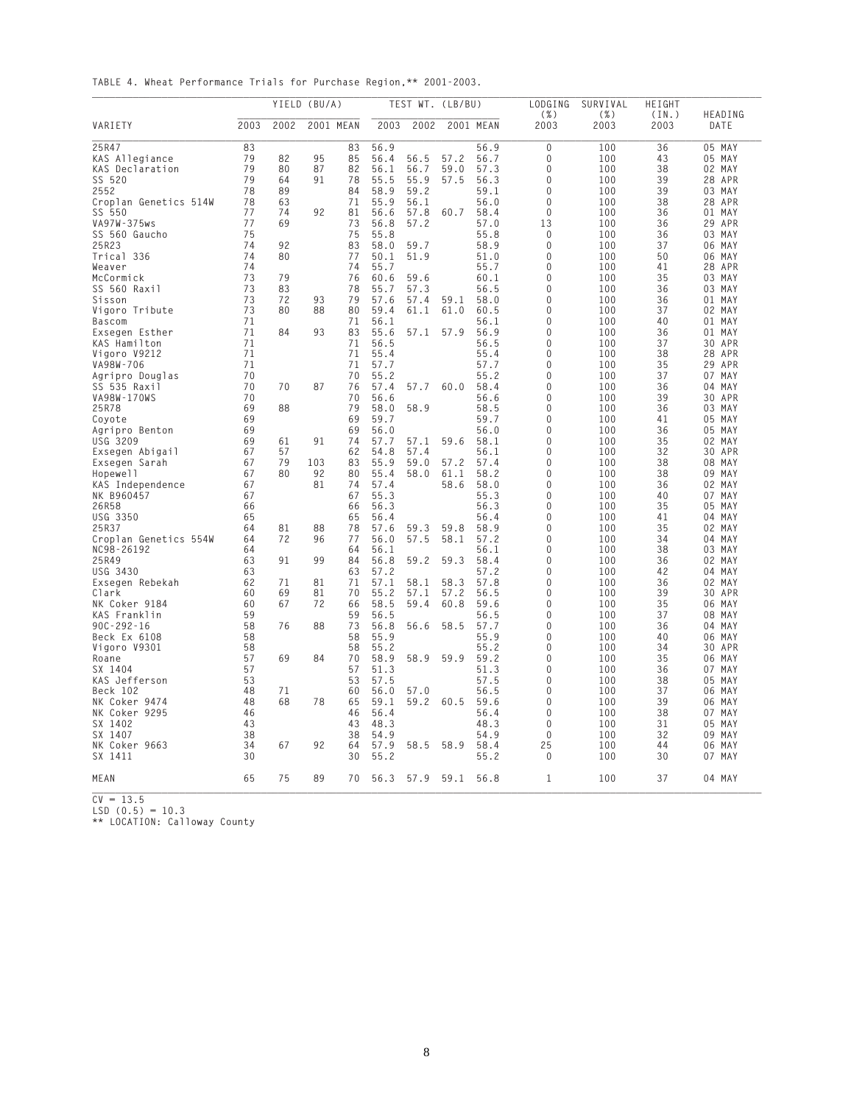**TABLE 4. Wheat Performance Trials for Purchase Region,\*\* 2001-2003.**

|                       |      |      | YIELD (BU/A) |           |      | TEST WT. (LB/BU) |      |           | LODGING         | SURVIVAL     | HEIGHT        |                 |
|-----------------------|------|------|--------------|-----------|------|------------------|------|-----------|-----------------|--------------|---------------|-----------------|
| VARIETY               | 2003 | 2002 |              | 2001 MEAN | 2003 | 2002             |      | 2001 MEAN | $(\% )$<br>2003 | ( %)<br>2003 | (IN.)<br>2003 | HEADING<br>DATE |
| 25R47                 | 83   |      |              | 83        | 56.9 |                  |      | 56.9      | $\mathbf{0}$    | 100          | 36            | 05 MAY          |
| KAS Allegiance        | 79   | 82   | 95           | 85        | 56.4 | 56.5             | 57.2 | 56.7      | 0               | 100          | 43            | 05 MAY          |
| KAS Declaration       | 79   | 80   | 87           | 82        | 56.1 | 56.7             | 59.0 | 57.3      | $\Omega$        | 100          | 38            | 02 MAY          |
| SS 520                | 79   | 64   | 91           | 78        | 55.5 | 55.9             | 57.5 | 56.3      | 0               | 100          | 39            | 28 APR          |
| 2552                  | 78   | 89   |              | 84        | 58.9 | 59.2             |      | 59.1      | 0               | 100          | 39            | 03 MAY          |
| Croplan Genetics 514W | 78   | 63   |              | 71        | 55.9 | 56.1             |      | 56.0      | $\Omega$        | 100          | 38            | 28 APR          |
| SS 550                | 77   | 74   | 92           | 81        | 56.6 | 57.8             | 60.7 | 58.4      | $\Omega$        | 100          | 36            | 01 MAY          |
| VA97W-375ws           | 77   | 69   |              | 73        | 56.8 | 57.2             |      | 57.0      | 13              | 100          | 36            | 29<br>APR       |
| SS 560 Gaucho         | 75   |      |              | 75        | 55.8 |                  |      | 55.8      | 0               | 100          | 36            | 03 MAY          |
| 25R23                 | 74   | 92   |              | 83        | 58.0 | 59.7             |      | 58.9      | 0               | 100          | 37            | 06 MAY          |
| Trical 336            | 74   | 80   |              | 77        | 50.1 | 51.9             |      | 51.0      | 0               | 100          | 50            | 06<br>MAY       |
| Weaver                | 74   |      |              | 74        | 55.7 |                  |      | 55.7      | 0               | 100          | 41            | 28 APR          |
| McCormick             | 73   | 79   |              | 76        | 60.6 | 59.6             |      | 60.1      | $\Omega$        | 100          | 35            | 03 MAY          |
| SS 560 Raxil          | 73   | 83   |              | 78        | 55.7 | 57.3             |      | 56.5      | 0               | 100          | 36            | 03 MAY          |
| Sisson                | 73   | 72   | 93           | 79        | 57.6 | 57.4             | 59.1 | 58.0      | 0               | 100          | 36            | 01 MAY          |
| Vigoro Tribute        | 73   | 80   | 88           | 80        | 59.4 | 61.1             | 61.0 | 60.5      | $\Omega$        | 100          | 37            | 02 MAY          |
| <b>Bascom</b>         | 71   |      |              | 71        | 56.1 |                  |      | 56.1      | 0               | 100          | 40            | 01 MAY          |
| Exsegen Esther        | 71   | 84   | 93           | 83        | 55.6 | 57.1             | 57.9 | 56.9      | 0               | 100          | 36            | 01 MAY          |
| KAS Hamilton          | 71   |      |              | 71        | 56.5 |                  |      | 56.5      | 0               | 100          | 37            | 30 APR          |
| Vigoro V9212          | 71   |      |              | 71        | 55.4 |                  |      | 55.4      | 0               | 100          | 38            | 28 APR          |
| VA98W-706             | 71   |      |              | 71        | 57.7 |                  |      | 57.7      | 0               | 100          | 35            | 29<br>APR       |
| Agripro Douglas       | 70   |      |              | 70        | 55.2 |                  |      | 55.2      | 0               | 100          | 37            | 07 MAY          |
| SS 535 Raxil          | 70   | 70   | 87           | 76        | 57.4 | 57.7             | 60.0 | 58.4      | $\Omega$        | 100          | 36            | 04 MAY          |
| VA98W-170WS           | 70   |      |              | 70        | 56.6 |                  |      | 56.6      | 0               | 100          | 39            | 30 APR          |
| 25R78                 | 69   | 88   |              | 79        | 58.0 | 58.9             |      | 58.5      | 0               | 100          | 36            | 03 MAY          |
| Coyote                | 69   |      |              | 69        | 59.7 |                  |      | 59.7      | $\Omega$        | 100          | 41            | 05<br>MAY       |
| Agripro Benton        | 69   |      |              | 69        | 56.0 |                  |      | 56.0      | 0               | 100          | 36            | 05 MAY          |
| USG 3209              | 69   | 61   | 91           | 74        | 57.7 | 57.1             | 59.6 | 58.1      | 0               | 100          | 35            | 02 MAY          |
| Exsegen Abigail       | 67   | 57   |              | 62        | 54.8 | 57.4             |      | 56.1      | 0               | 100          | 32            | 30 APR          |
| Exsegen Sarah         | 67   | 79   | 103          | 83        | 55.9 | 59.0             | 57.2 | 57.4      | 0               | 100          | 38            | 08 MAY          |
| Hopewell              | 67   | 80   | 92           | 80        | 55.4 | 58.0             | 61.1 | 58.2      | 0               | 100          | 38            | MAY<br>09       |
| KAS Independence      | 67   |      | 81           | 74        | 57.4 |                  | 58.6 | 58.0      | 0               | 100          | 36            | 02 MAY          |
| NK B960457            | 67   |      |              | 67        | 55.3 |                  |      | 55.3      | $\Omega$        | 100          | 40            | 07<br>MAY       |
| 26R58                 | 66   |      |              | 66        | 56.3 |                  |      | 56.3      | 0               | 100          | 35            | 05 MAY          |
| USG 3350              | 65   |      |              | 65        | 56.4 |                  |      | 56.4      | 0               | 100          | 41            | 04 MAY          |
| 25R37                 | 64   | 81   | 88           | 78        | 57.6 | 59.3             | 59.8 | 58.9      | $\Omega$        | 100          | 35            | 02 MAY          |
| Croplan Genetics 554W | 64   | 72   | 96           | 77        | 56.0 | 57.5             | 58.1 | 57.2      | 0               | 100          | 34            | 04 MAY          |
| NC98-26192            | 64   |      |              | 64        | 56.1 |                  |      | 56.1      | 0               | 100          | 38            | 03 MAY          |
| 25R49                 | 63   | 91   | 99           | 84        | 56.8 | 59.2             | 59.3 | 58.4      | 0               | 100          | 36            | 02 MAY          |
| USG 3430              | 63   |      |              | 63        | 57.2 |                  |      | 57.2      | 0               | 100          | 42            | 04 MAY          |
| Exsegen Rebekah       | 62   | 71   | 81           | 71        | 57.1 | 58.1             | 58.3 | 57.8      | 0               | 100          | 36            | 02 MAY          |
| Clark                 | 60   | 69   | 81           | 70        | 55.2 | 57.1             | 57.2 | 56.5      | 0               | 100          | 39            | 30 APR          |
| NK Coker 9184         | 60   | 67   | 72           | 66        | 58.5 | 59.4             | 60.8 | 59.6      | $\Omega$        | 100          | 35            | 06 MAY          |
| KAS Franklin          | 59   |      |              | 59        | 56.5 |                  |      | 56.5      | 0               | 100          | 37            | 08 MAY          |
| $90C - 292 - 16$      | 58   | 76   | 88           | 73        | 56.8 | 56.6             | 58.5 | 57.7      | 0               | 100          | 36            | 04 MAY          |
| Beck Ex 6108          | 58   |      |              | 58        | 55.9 |                  |      | 55.9      | $\Omega$        | 100          | 40            | 06 MAY          |
| Vigoro V9301          | 58   |      |              | 58        | 55.2 |                  |      | 55.2      | 0               | 100          | 34            | 30<br>APR       |
| Roane                 | 57   | 69   | 84           | 70        | 58.9 | 58.9             | 59.9 | 59.2      | 0               | 100          | 35            | MAY<br>06       |
| SX 1404               | 57   |      |              | 57        | 51.3 |                  |      | 51.3      | 0               | 100          | 36            | 07 MAY          |
| KAS Jefferson         | 53   |      |              | 53        | 57.5 |                  |      | 57.5      | 0               | 100          | 38            | 05 MAY          |
| Beck 102              | 48   | 71   |              | 60        | 56.0 | 57.0             |      | 56.5      | 0               | 100          | 37            | 06<br>MAY       |
| NK Coker 9474         | 48   | 68   | 78           | 65        | 59.1 | 59.2             | 60.5 | 59.6      | 0               | 100          | 39            | 06 MAY          |
| NK Coker 9295         | 46   |      |              | 46        | 56.4 |                  |      | 56.4      | 0               | 100          | 38            | 07 MAY          |
| SX 1402               | 43   |      |              | 43        | 48.3 |                  |      | 48.3      | 0               | 100          | 31            | 05 MAY          |
| SX 1407               | 38   |      |              | 38        | 54.9 |                  |      | 54.9      | 0               | 100          | 32            | 09 MAY          |
| NK Coker 9663         | 34   | 67   | 92           | 64        | 57.9 | 58.5             | 58.9 | 58.4      | 25              | 100          | 44            | 06 MAY          |
| SX 1411               | 30   |      |              | 30        | 55.2 |                  |      | 55.2      | 0               | 100          | 30            | 07 MAY          |
| MEAN                  | 65   | 75   | 89           | 70        |      | 56.3 57.9 59.1   |      | 56.8      | $\mathbf{1}$    | 100          | 37            | 04 MAY          |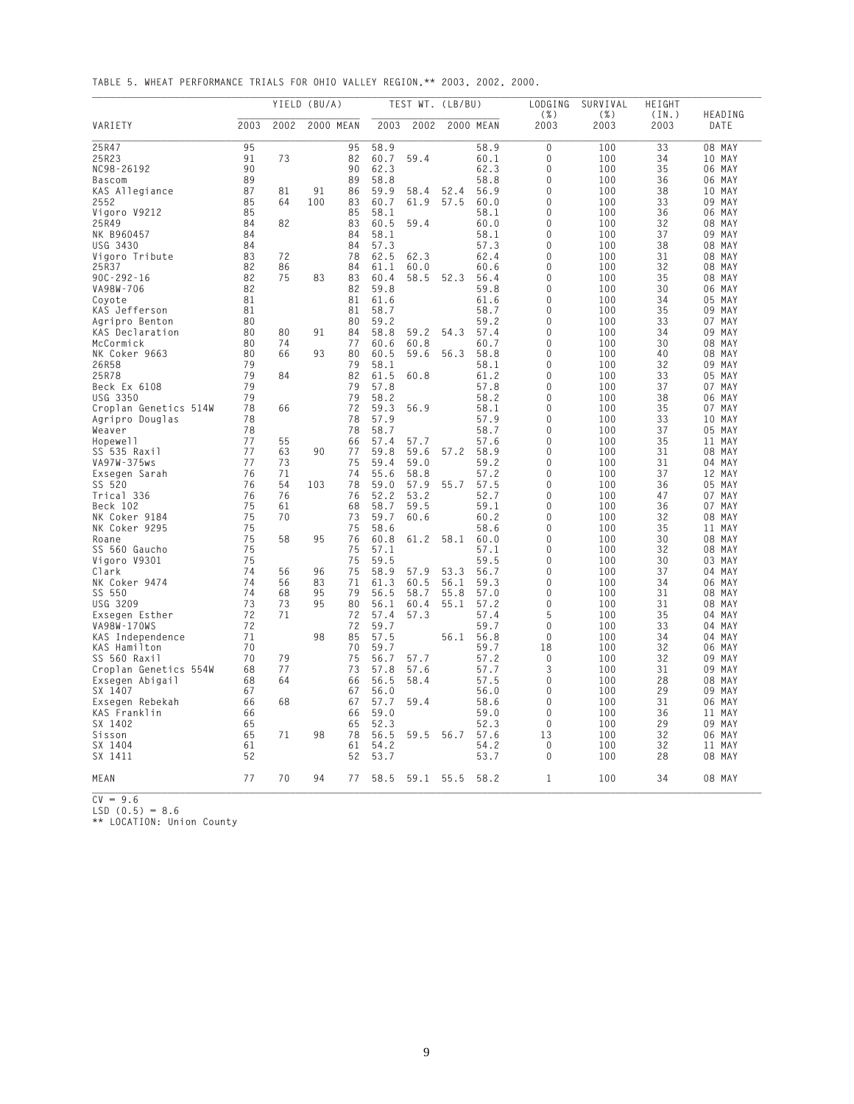**TABLE 5. WHEAT PERFORMANCE TRIALS FOR OHIO VALLEY REGION,\*\* 2003, 2002, 2000.**

|                       |      |      | YIELD (BU/A) |           |      |                | TEST WT. (LB/BU) |           | LODGING         | SURVIVAL     | HEIGHT        |                 |
|-----------------------|------|------|--------------|-----------|------|----------------|------------------|-----------|-----------------|--------------|---------------|-----------------|
| VARIETY               | 2003 | 2002 |              | 2000 MEAN | 2003 | 2002           |                  | 2000 MEAN | $(\% )$<br>2003 | ( %)<br>2003 | (IN.)<br>2003 | HEADING<br>DATE |
| 25R47                 | 95   |      |              | 95        | 58.9 |                |                  | 58.9      | 0               | 100          | 33            | 08 MAY          |
| 25R23                 | 91   | 73   |              | 82        | 60.7 | 59.4           |                  | 60.1      | 0               | 100          | 34            | 10 MAY          |
| NC98-26192            | 90   |      |              | 90        | 62.3 |                |                  | 62.3      | 0               | 100          | 35            | 06 MAY          |
| Bascom                | 89   |      |              | 89        | 58.8 |                |                  | 58.8      | 0               | 100          | 36            | 06 MAY          |
| KAS Allegiance        | 87   | 81   | 91           | 86        | 59.9 | 58.4           | 52.4             | 56.9      | 0               | 100          | 38            | 10 MAY          |
| 2552                  | 85   | 64   | 100          | 83        | 60.7 | 61.9           | 57.5             | 60.0      | 0               | 100          | 33            | 09 MAY          |
| Vigoro V9212          | 85   |      |              | 85        | 58.1 |                |                  | 58.1      | 0               | 100          | 36            | 06 MAY          |
| 25R49                 | 84   | 82   |              | 83        | 60.5 | 59.4           |                  | 60.0      | 0               | 100          | 32            | 08 MAY          |
| NK B960457            | 84   |      |              | 84        | 58.1 |                |                  | 58.1      | 0               | 100          | 37            | 09 MAY          |
| USG 3430              | 84   |      |              | 84        | 57.3 |                |                  | 57.3      | 0               | 100          | 38            | 08 MAY          |
| Vigoro Tribute        | 83   | 72   |              | 78        | 62.5 | 62.3           |                  | 62.4      | 0               | 100          | 31            | 08 MAY          |
| 25R37                 | 82   | 86   |              | 84        | 61.1 | 60.0           |                  | 60.6      | 0               | 100          | 32            | 08 MAY          |
| 90C-292-16            | 82   | 75   | 83           | 83        | 60.4 | 58.5           | 52.3             | 56.4      | $\Omega$        | 100          | 35            | 08 MAY          |
| VA98W-706             | 82   |      |              | 82        | 59.8 |                |                  | 59.8      | 0               | 100          | 30            | 06 MAY          |
| Coyote                | 81   |      |              | 81        | 61.6 |                |                  | 61.6      | 0               | 100          | 34            | 05 MAY          |
| KAS Jefferson         | 81   |      |              | 81        | 58.7 |                |                  | 58.7      | 0               | 100          | 35            | 09 MAY          |
| Agripro Benton        | 80   |      |              | 80        | 59.2 |                |                  | 59.2      | 0               | 100          | 33            | 07 MAY          |
| KAS Declaration       | 80   | 80   | 91           | 84        | 58.8 | 59.2           | 54.3             | 57.4      | 0               | 100          | 34            | 09<br>MAY       |
| McCormick             | 80   | 74   |              | 77        | 60.6 | 60.8           |                  | 60.7      | 0               | 100          | 30            | 08 MAY          |
| NK Coker 9663         | 80   | 66   | 93           | 80        | 60.5 | 59.6           | 56.3             | 58.8      | 0               | 100          | 40            | 08 MAY          |
| 26R58                 | 79   |      |              | 79        | 58.1 |                |                  | 58.1      | 0               | 100          | 32            | 09<br>MAY       |
| 25R78                 | 79   | 84   |              | 82        | 61.5 | 60.8           |                  | 61.2      | 0               | 100          | 33            | 05 MAY          |
| Beck Ex 6108          | 79   |      |              | 79        | 57.8 |                |                  | 57.8      | $\Omega$        | 100          | 37            | 07 MAY          |
| USG 3350              | 79   |      |              | 79        | 58.2 |                |                  | 58.2      | 0               | 100          | 38            | 06 MAY          |
| Croplan Genetics 514W | 78   | 66   |              | 72        | 59.3 | 56.9           |                  | 58.1      | 0               | 100          | 35            | 07 MAY          |
| Agripro Douglas       | 78   |      |              | 78        | 57.9 |                |                  | 57.9      | 0               | 100          | 33            | 10 MAY          |
| Weaver                | 78   |      |              | 78        | 58.7 |                |                  | 58.7      | 0               | 100          | 37            | 05 MAY          |
| Hopewell              | 77   | 55   |              | 66        | 57.4 | 57.7           |                  | 57.6      | 0               | 100          | 35            | 11 MAY          |
| SS 535 Raxil          | 77   | 63   | 90           | 77        | 59.8 | 59.6           | 57.2             | 58.9      | 0               | 100          | 31            | 08 MAY          |
| VA97W-375ws           | 77   | 73   |              | 75        | 59.4 | 59.0           |                  | 59.2      | 0               | 100          | 31            | 04 MAY          |
| Exsegen Sarah         | 76   | 71   |              | 74        | 55.6 | 58.8           |                  | 57.2      | 0               | 100          | 37            | 12 MAY          |
| SS 520                | 76   | 54   | 103          | 78        | 59.0 | 57.9           | 55.7             | 57.5      | 0               | 100          | 36            | 05 MAY          |
| Trical 336            | 76   | 76   |              | 76        | 52.2 | 53.2           |                  | 52.7      | $\Omega$        | 100          | 47            | 07 MAY          |
| Beck 102              | 75   | 61   |              | 68        | 58.7 | 59.5           |                  | 59.1      | 0               | 100          | 36            | 07 MAY          |
| NK Coker 9184         | 75   | 70   |              | 73        | 59.7 | 60.6           |                  | 60.2      | 0               | 100          | 32            | 08 MAY          |
| NK Coker 9295         | 75   |      |              | 75        | 58.6 |                |                  | 58.6      | 0               | 100          | 35            | 11 MAY          |
| Roane                 | 75   | 58   | 95           | 76        | 60.8 | 61.2           | 58.1             | 60.0      | 0               | 100          | 30            | 08 MAY          |
| SS 560 Gaucho         | 75   |      |              | 75        | 57.1 |                |                  | 57.1      | 0               | 100          | 32            | 08 MAY          |
| Vigoro V9301          | 75   |      |              | 75        | 59.5 |                |                  | 59.5      | 0               | 100          | 30            | 03 MAY          |
| Clark                 | 74   | 56   | 96           | 75        | 58.9 | 57.9           | 53.3             | 56.7      | 0               | 100          | 37            | 04 MAY          |
| NK Coker 9474         | 74   | 56   | 83           | 71        | 61.3 | 60.5           | 56.1             | 59.3      | 0               | 100          | 34            | 06 MAY          |
| SS 550                | 74   | 68   | 95           | 79        | 56.5 | 58.7           | 55.8             | 57.0      | 0               | 100          | 31            | 08 MAY          |
| USG 3209              | 73   | 73   | 95           | 80        | 56.1 | 60.4           | 55.1             | 57.2      | 0               | 100          | 31            | 08 MAY          |
| Exsegen Esther        | 72   | 71   |              | 72        | 57.4 | 57.3           |                  | 57.4      | 5               | 100          | 35            | 04 MAY          |
| VA98W-170WS           | 72   |      |              | 72        | 59.7 |                |                  | 59.7      | 0               | 100          | 33            | 04 MAY          |
| KAS Independence      | 71   |      | 98           | 85        | 57.5 |                | 56.1             | 56.8      | 0               | 100          | 34            | 04 MAY          |
| KAS Hamilton          | 70   |      |              | 70        | 59.7 |                |                  | 59.7      | 18              | 100          | 32            | 06 MAY          |
| SS 560 Raxil          | 70   | 79   |              | 75        | 56.7 | 57.7           |                  | 57.2      | 0               | 100          | 32            | MAY<br>09       |
| Croplan Genetics 554W | 68   | 77   |              | 73        | 57.8 | 57.6           |                  | 57.7      | 3               | 100          | 31            | 09 MAY          |
| Exsegen Abigail       | 68   | 64   |              | 66        | 56.5 | 58.4           |                  | 57.5      | 0               | 100          | 28            | 08 MAY          |
| SX 1407               | 67   |      |              | 67        | 56.0 |                |                  | 56.0      | 0               | 100          | 29            | 09<br>MAY       |
| Exsegen Rebekah       | 66   | 68   |              | 67        | 57.7 | 59.4           |                  | 58.6      | 0               | 100          | 31            | 06 MAY          |
| KAS Franklin          | 66   |      |              | 66        | 59.0 |                |                  | 59.0      | 0               | 100          | 36            | 11 MAY          |
| SX 1402               | 65   |      |              | 65        | 52.3 |                |                  | 52.3      | 0               | 100          | 29            | 09 MAY          |
| Sisson                | 65   | 71   | 98           | 78        | 56.5 | 59.5 56.7      |                  | 57.6      | 13              | 100          | 32            | 06 MAY          |
| SX 1404               | 61   |      |              | 61        | 54.2 |                |                  | 54.2      | 0               | 100          | 32            | 11 MAY          |
| SX 1411               | 52   |      |              | 52        | 53.7 |                |                  | 53.7      | 0               | 100          | 28            | 08 MAY          |
| MEAN                  | 77   | 70   | 94           | 77        |      | 58.5 59.1 55.5 |                  | 58.2      | 1               | 100          | 34            | 08 MAY          |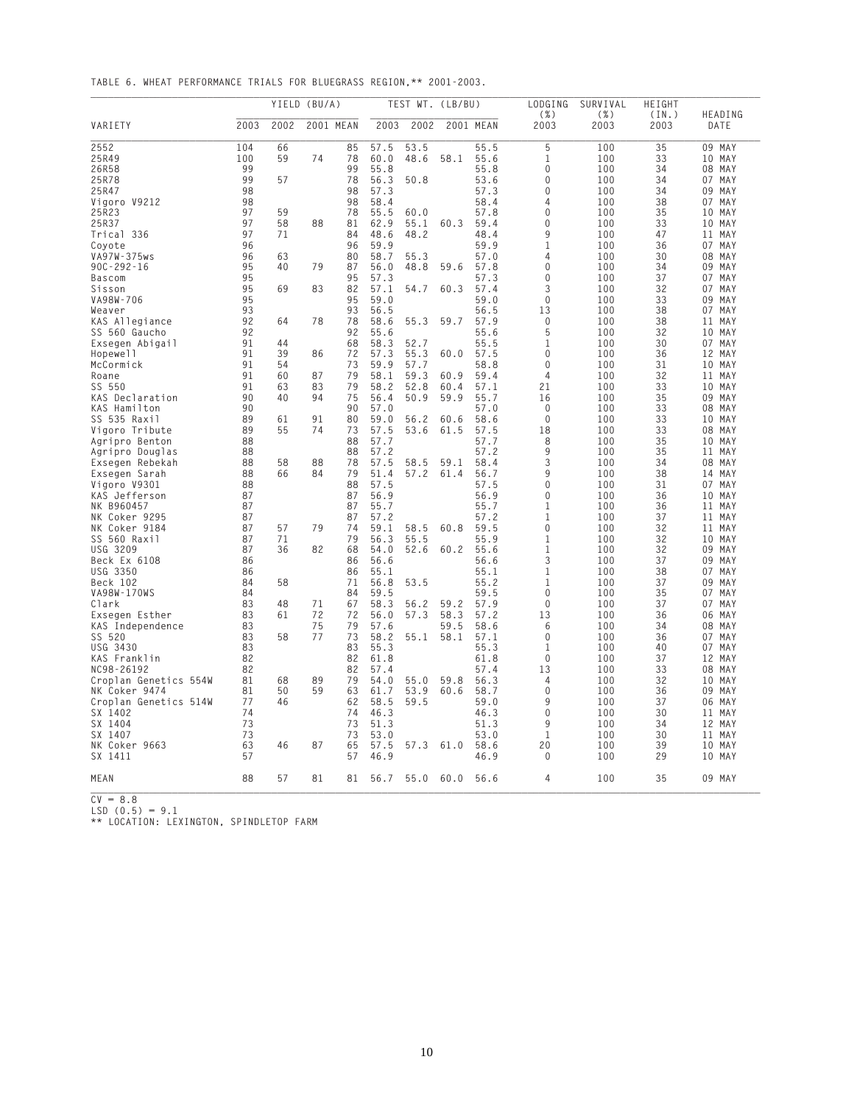**TABLE 6. WHEAT PERFORMANCE TRIALS FOR BLUEGRASS REGION,\*\* 2001-2003.**

|                                   |          |          | YIELD (BU/A) |           |              | TEST WT. (LB/BU) |      |              | LODGING            | SURVIVAL     | HEIGHT        | HEADING                |
|-----------------------------------|----------|----------|--------------|-----------|--------------|------------------|------|--------------|--------------------|--------------|---------------|------------------------|
| VARIETY                           | 2003     | 2002     |              | 2001 MEAN | 2003         | 2002             |      | 2001 MEAN    | ( %)<br>2003       | ( %)<br>2003 | (IN.)<br>2003 | DATE                   |
| 2552                              | 104      | 66       |              | 85        | 57.5         | 53.5             |      | 55.5         | 5                  | 100          | 35            | 09 MAY                 |
| 25R49                             | 100      | 59       | 74           | 78        | 60.0         | 48.6             | 58.1 | 55.6         | 1                  | 100          | 33            | 10 MAY                 |
| 26R58                             | 99       |          |              | 99        | 55.8         |                  |      | 55.8         | 0                  | 100          | 34            | 08 MAY                 |
| 25R78                             | 99       | 57       |              | 78        | 56.3         | 50.8             |      | 53.6         | 0                  | 100          | 34            | 07 MAY                 |
| 25R47                             | 98       |          |              | 98        | 57.3         |                  |      | 57.3         | 0                  | 100          | 34            | 09 MAY                 |
| Vigoro V9212                      | 98       |          |              | 98        | 58.4         |                  |      | 58.4         | 4                  | 100          | 38            | 07 MAY                 |
| 25R23                             | 97       | 59       |              | 78        | 55.5         | 60.0             |      | 57.8         | 0                  | 100          | 35            | 10 MAY                 |
| 25R37                             | 97       | 58       | 88           | 81        | 62.9         | 55.1             | 60.3 | 59.4         | 0                  | 100          | 33            | 10 MAY                 |
| Trical 336                        | 97       | 71       |              | 84        | 48.6         | 48.2             |      | 48.4         | 9                  | 100          | 47            | MAY<br>11              |
| Coyote                            | 96       |          |              | 96        | 59.9         |                  |      | 59.9         | 1                  | 100          | 36            | 07 MAY                 |
| VA97W-375ws                       | 96       | 63       |              | 80        | 58.7         | 55.3             |      | 57.0         | 4                  | 100          | 30            | 08<br>MAY<br>09 MAY    |
| $90C - 292 - 16$                  | 95       | 40       | 79           | 87        | 56.0         | 48.8             | 59.6 | 57.8         | 0<br>$\Omega$      | 100          | 34            |                        |
| <b>Bascom</b>                     | 95       |          |              | 95        | 57.3         |                  |      | 57.3         |                    | 100          | 37            | 07 MAY                 |
| Sisson                            | 95       | 69       | 83           | 82<br>95  | 57.1         | 54.7             | 60.3 | 57.4<br>59.0 | 3<br>0             | 100          | 32            | 07 MAY                 |
| VA98W-706                         | 95       |          |              |           | 59.0         |                  |      |              |                    | 100          | 33            | 09 MAY                 |
| Weaver                            | 93       |          |              | 93        | 56.5         |                  |      | 56.5         | 13<br>0            | 100          | 38            | 07 MAY                 |
| KAS Allegiance                    | 92<br>92 | 64       | 78           | 78<br>92  | 58.6<br>55.6 | 55.3             | 59.7 | 57.9<br>55.6 | 5                  | 100<br>100   | 38<br>32      | 11<br>MAY<br>MAY<br>10 |
| SS 560 Gaucho                     |          | 44       |              |           |              |                  |      |              |                    |              |               |                        |
| Exsegen Abigail<br>Hopewell       | 91<br>91 | 39       | 86           | 68<br>72  | 58.3<br>57.3 | 52.7<br>55.3     | 60.0 | 55.5<br>57.5 | 1<br>0             | 100<br>100   | 30<br>36      | 07 MAY<br>12 MAY       |
|                                   |          |          |              |           |              |                  |      |              |                    |              |               |                        |
| McCormick<br>Roane                | 91<br>91 | 54<br>60 | 87           | 73<br>79  | 59.9<br>58.1 | 57.7<br>59.3     | 60.9 | 58.8<br>59.4 | 0<br>4             | 100<br>100   | 31<br>32      | 10<br>MAY<br>11        |
|                                   |          |          |              |           |              |                  |      |              |                    |              |               | MAY                    |
| SS 550                            | 91<br>90 | 63       | 83           | 79        | 58.2         | 52.8             | 60.4 | 57.1         | 21                 | 100          | 33            | 10 MAY                 |
| KAS Declaration                   | 90       | 40       | 94           | 75<br>90  | 56.4         | 50.9             | 59.9 | 55.7         | 16<br>$\mathbf{0}$ | 100          | 35            | 09 MAY                 |
| KAS Hamilton                      | 89       | 61       | 91           | 80        | 57.0<br>59.0 |                  |      | 57.0<br>58.6 | $\mathbf{0}$       | 100<br>100   | 33<br>33      | 08 MAY                 |
| SS 535 Raxil                      |          |          |              |           |              | 56.2             | 60.6 |              |                    |              |               | 10 MAY                 |
| Vigoro Tribute                    | 89       | 55       | 74           | 73        | 57.5         | 53.6             | 61.5 | 57.5         | 18                 | 100          | 33            | 08 MAY<br>10 MAY       |
| Agripro Benton<br>Agripro Douglas | 88       |          |              | 88<br>88  | 57.7<br>57.2 |                  |      | 57.7<br>57.2 | 8<br>9             | 100<br>100   | 35<br>35      |                        |
|                                   | 88<br>88 | 58       | 88           | 78        | 57.5         | 58.5             | 59.1 | 58.4         | 3                  | 100          | 34            | 11<br>MAY<br>08 MAY    |
| Exsegen Rebekah                   | 88       |          |              | 79        | 51.4         | 57.2             |      | 56.7         | 9                  | 100          | 38            |                        |
| Exsegen Sarah                     | 88       | 66       | 84           |           |              |                  | 61.4 |              | 0                  |              |               | MAY<br>14              |
| Vigoro V9301                      | 87       |          |              | 88<br>87  | 57.5<br>56.9 |                  |      | 57.5<br>56.9 | 0                  | 100<br>100   | 31<br>36      | 07 MAY<br>10 MAY       |
| KAS Jefferson<br>NK B960457       | 87       |          |              | 87        | 55.7         |                  |      | 55.7         | 1                  | 100          | 36            | 11<br>MAY              |
| NK Coker 9295                     | 87       |          |              | 87        | 57.2         |                  |      | 57.2         | 1                  | 100          | 37            | 11<br>MAY              |
| NK Coker 9184                     | 87       | 57       | 79           | 74        | 59.1         | 58.5             | 60.8 | 59.5         | 0                  | 100          | 32            | 11 MAY                 |
| SS 560 Raxil                      | 87       | 71       |              | 79        | 56.3         | 55.5             |      | 55.9         | 1                  | 100          | 32            | 10 MAY                 |
| USG 3209                          | 87       | 36       | 82           | 68        | 54.0         | 52.6             | 60.2 | 55.6         | 1                  | 100          | 32            | 09<br>MAY              |
| Beck Ex 6108                      | 86       |          |              | 86        | 56.6         |                  |      | 56.6         | 3                  | 100          | 37            | 09 MAY                 |
| USG 3350                          | 86       |          |              | 86        | 55.1         |                  |      | 55.1         | 1                  | 100          | 38            | 07 MAY                 |
| Beck 102                          | 84       | 58       |              | 71        | 56.8         | 53.5             |      | 55.2         | 1                  | 100          | 37            | 09<br>MAY              |
| VA98W-170WS                       | 84       |          |              | 84        | 59.5         |                  |      | 59.5         | 0                  | 100          | 35            | 07 MAY                 |
| Clark                             | 83       | 48       | 71           | 67        | 58.3         | 56.2             | 59.2 | 57.9         | $\Omega$           | 100          | 37            | 07 MAY                 |
| Exsegen Esther                    | 83       | 61       | 72           | 72        | 56.0         | 57.3             | 58.3 | 57.2         | 13                 | 100          | 36            | 06 MAY                 |
| KAS Independence                  | 83       |          | 75           | 79        | 57.6         |                  | 59.5 | 58.6         | 6                  | 100          | 34            | 08 MAY                 |
| SS 520                            | 83       | 58       | 77           | 73        | 58.2         | 55.1             | 58.1 | 57.1         | 0                  | 100          | 36            | 07 MAY                 |
| USG 3430                          | 83       |          |              | 83        | 55.3         |                  |      | 55.3         | 1                  | 100          | 40            | 07 MAY                 |
| KAS Franklin                      | 82       |          |              | 82        | 61.8         |                  |      | 61.8         | $\mathbf 0$        | 100          | 37            | 12<br>MAY              |
| NC98-26192                        | 82       |          |              | 82        | 57.4         |                  |      | 57.4         | 13                 | 100          | 33            | 08 MAY                 |
| Croplan Genetics 554W             | 81       | 68       | 89           | 79        | 54.0         | 55.0             | 59.8 | 56.3         | 4                  | 100          | 32            | 10 MAY                 |
| NK Coker 9474                     | 81       | 50       | 59           | 63        | 61.7         | 53.9             | 60.6 | 58.7         | 0                  | 100          | 36            | 09<br>MAY              |
| Croplan Genetics 514W             | 77       | 46       |              | 62        | 58.5         | 59.5             |      | 59.0         | 9                  | 100          | 37            | 06 MAY                 |
| SX 1402                           | 74       |          |              | 74        | 46.3         |                  |      | 46.3         | 0                  | 100          | 30            | 11<br>MAY              |
| SX 1404                           | 73       |          |              | 73        | 51.3         |                  |      | 51.3         | 9                  | 100          | 34            | 12 MAY                 |
| SX 1407                           | 73       |          |              | 73        | 53.0         |                  |      | 53.0         | 1                  | 100          | 30            | 11 MAY                 |
| NK Coker 9663                     | 63       | 46       | 87           | 65        | 57.5         | 57.3 61.0        |      | 58.6         | 20                 | 100          | 39            | 10 MAY                 |
| SX 1411                           | 57       |          |              | 57        | 46.9         |                  |      | 46.9         | 0                  | 100          | 29            | 10 MAY                 |
| MEAN                              | 88       | 57       | 81           | 81        | 56.7         | 55.0 60.0        |      | 56.6         | 4                  | 100          | 35            | 09 MAY                 |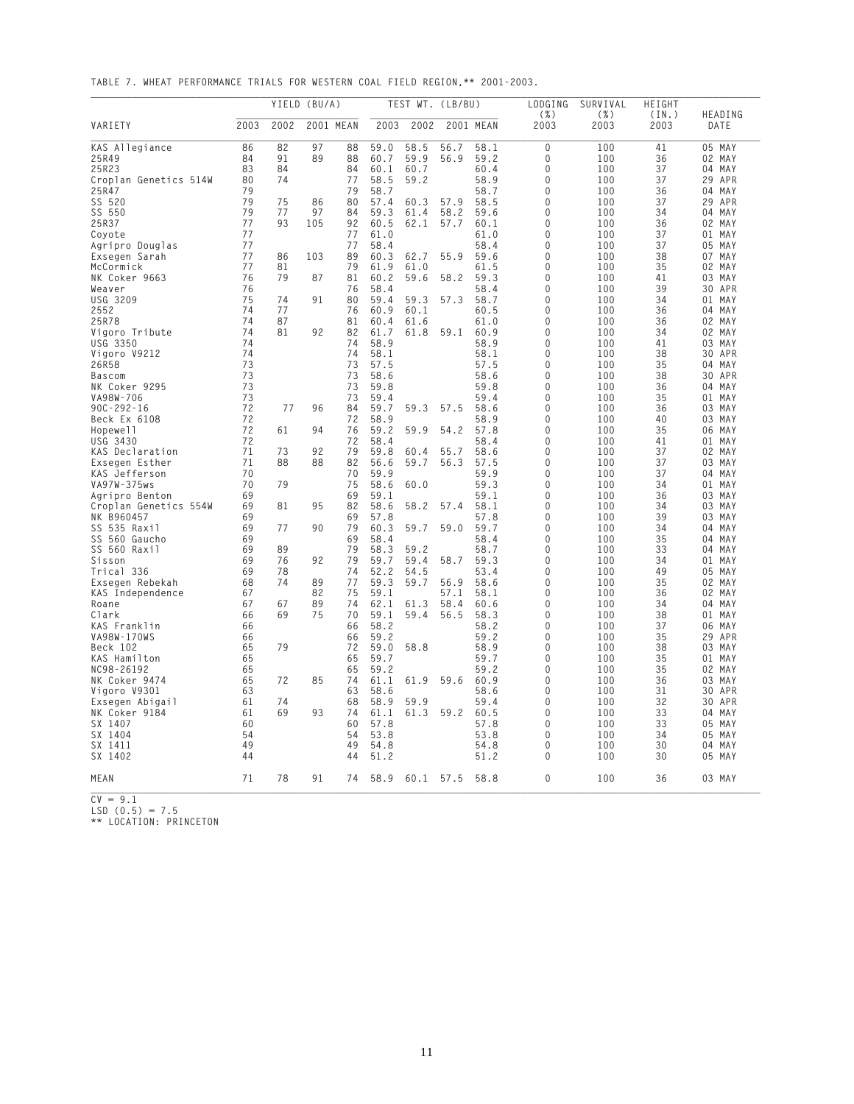**TABLE 7. WHEAT PERFORMANCE TRIALS FOR WESTERN COAL FIELD REGION,\*\* 2001-2003.**

|                                     |          |          | YIELD (BU/A) |           |              | TEST WT. (LB/BU) |              |              | LODGING         | SURVIVAL        | HEIGHT        |                  |
|-------------------------------------|----------|----------|--------------|-----------|--------------|------------------|--------------|--------------|-----------------|-----------------|---------------|------------------|
| VARIETY                             | 2003     | 2002     |              | 2001 MEAN | 2003         | 2002             |              | 2001 MEAN    | $(\% )$<br>2003 | $(\% )$<br>2003 | (IN.)<br>2003 | HEADING<br>DATE  |
| KAS Allegiance                      | 86       | 82       | 97           | 88        | 59.0         | 58.5             | 56.7         | 58.1         | 0               | 100             | 41            | 05 MAY           |
| 25R49                               | 84       | 91       | 89           | 88        | 60.7         | 59.9             | 56.9         | 59.2         | 0               | 100             | 36            | 02 MAY           |
| 25R23                               | 83       | 84       |              | 84        | 60.1         | 60.7             |              | 60.4         | 0               | 100             | 37            | 04 MAY           |
| Croplan Genetics 514W               | 80       | 74       |              | 77        | 58.5         | 59.2             |              | 58.9         | 0               | 100             | 37            | 29 APR           |
| 25R47                               | 79<br>79 |          |              | 79        | 58.7<br>57.4 |                  |              | 58.7         | 0               | 100             | 36<br>37      | 04 MAY           |
| SS 520<br>SS 550                    | 79       | 75<br>77 | 86<br>97     | 80<br>84  | 59.3         | 60.3<br>61.4     | 57.9<br>58.2 | 58.5<br>59.6 | 0<br>0          | 100<br>100      | 34            | 29 APR<br>04 MAY |
| 25R37                               | 77       | 93       | 105          | 92        | 60.5         | 62.1             | 57.7         | 60.1         | 0               | 100             | 36            | 02 MAY           |
| Coyote                              | 77       |          |              | 77        | 61.0         |                  |              | 61.0         | 0               | 100             | 37            | 01 MAY           |
| Agripro Douglas                     | 77       |          |              | 77        | 58.4         |                  |              | 58.4         | 0               | 100             | 37            | 05 MAY           |
| Exsegen Sarah                       | 77       | 86       | 103          | 89        | 60.3         | 62.7             | 55.9         | 59.6         | 0               | 100             | 38            | 07<br>MAY        |
| McCormick                           | 77       | 81       |              | 79        | 61.9         | 61.0             |              | 61.5         | 0               | 100             | 35            | 02 MAY           |
| NK Coker 9663                       | 76       | 79       | 87           | 81        | 60.2         | 59.6             | 58.2         | 59.3         | $\Omega$        | 100             | 41            | 03 MAY           |
| Weaver                              | 76       |          |              | 76        | 58.4         |                  |              | 58.4         | 0               | 100             | 39            | 30 APR           |
| <b>USG 3209</b>                     | 75       | 74       | 91           | 80        | 59.4         | 59.3             | 57.3         | 58.7         | 0               | 100             | 34            | 01 MAY           |
| 2552                                | 74       | 77       |              | 76        | 60.9         | 60.1             |              | 60.5         | 0               | 100             | 36            | 04 MAY           |
| 25R78                               | 74       | 87       |              | 81        | 60.4         | 61.6             |              | 61.0         | 0               | 100             | 36            | 02 MAY           |
| Vigoro Tribute                      | 74       | 81       | 92           | 82        | 61.7         | 61.8             | 59.1         | 60.9         | 0               | 100             | 34            | 02 MAY           |
| USG 3350                            | 74       |          |              | 74        | 58.9         |                  |              | 58.9         | 0               | 100             | 41            | 03 MAY           |
| Vigoro V9212                        | 74       |          |              | 74        | 58.1         |                  |              | 58.1         | 0               | 100             | 38            | 30 APR           |
| 26R58                               | 73       |          |              | 73        | 57.5         |                  |              | 57.5         | 0               | 100             | 35            | MAY<br>04        |
| Bascom                              | 73       |          |              | 73        | 58.6         |                  |              | 58.6         | 0               | 100             | 38            | 30 APR           |
| NK Coker 9295                       | 73       |          |              | 73        | 59.8         |                  |              | 59.8         | $\Omega$        | 100             | 36            | 04 MAY           |
| VA98W-706                           | 73       |          |              | 73        | 59.4         |                  |              | 59.4         | 0               | 100             | 35            | 01 MAY           |
| $90C - 292 - 16$                    | 72       | 77       | 96           | 84        | 59.7         | 59.3             | 57.5         | 58.6         | 0               | 100             | 36            | 03 MAY           |
| Beck Ex 6108                        | 72       |          |              | 72        | 58.9         |                  |              | 58.9         | 0               | 100             | 40            | 03 MAY           |
| Hopewell                            | 72       | 61       | 94           | 76        | 59.2         | 59.9             | 54.2         | 57.8         | 0               | 100             | 35            | 06 MAY           |
| USG 3430                            | 72       |          |              | 72        | 58.4         |                  |              | 58.4         | 0               | 100             | 41            | 01 MAY           |
| KAS Declaration                     | 71       | 73       | 92           | 79        | 59.8         | 60.4             | 55.7         | 58.6         | 0               | 100             | 37            | 02 MAY           |
| Exsegen Esther                      | 71       | 88       | 88           | 82        | 56.6         | 59.7             | 56.3         | 57.5         | 0               | 100             | 37            | 03 MAY           |
| KAS Jefferson                       | 70       |          |              | 70        | 59.9         |                  |              | 59.9         | 0               | 100             | 37            | 04 MAY           |
| VA97W-375ws                         | 70       | 79       |              | 75        | 58.6         | 60.0             |              | 59.3         | 0               | 100             | 34            | 01 MAY           |
| Agripro Benton                      | 69       | 81       |              | 69<br>82  | 59.1<br>58.6 | 58.2             | 57.4         | 59.1<br>58.1 | $\Omega$<br>0   | 100<br>100      | 36            | 03 MAY           |
| Croplan Genetics 554W<br>NK B960457 | 69<br>69 |          | 95           | 69        | 57.8         |                  |              | 57.8         | 0               | 100             | 34<br>39      | 03 MAY<br>03 MAY |
| SS 535 Raxil                        | 69       | 77       | 90           | 79        | 60.3         | 59.7             | 59.0         | 59.7         | 0               | 100             | 34            | 04 MAY           |
| SS 560 Gaucho                       | 69       |          |              | 69        | 58.4         |                  |              | 58.4         | 0               | 100             | 35            | 04 MAY           |
| SS 560 Raxil                        | 69       | 89       |              | 79        | 58.3         | 59.2             |              | 58.7         | 0               | 100             | 33            | 04 MAY           |
| Sisson                              | 69       | 76       | 92           | 79        | 59.7         | 59.4             | 58.7         | 59.3         | 0               | 100             | 34            | 01 MAY           |
| Trical 336                          | 69       | 78       |              | 74        | 52.2         | 54.5             |              | 53.4         | 0               | 100             | 49            | 05 MAY           |
| Exsegen Rebekah                     | 68       | 74       | 89           | 77        | 59.3         | 59.7             | 56.9         | 58.6         | 0               | 100             | 35            | 02 MAY           |
| KAS Independence                    | 67       |          | 82           | 75        | 59.1         |                  | 57.1         | 58.1         | 0               | 100             | 36            | 02 MAY           |
| Roane                               | 67       | 67       | 89           | 74        | 62.1         | 61.3             | 58.4         | 60.6         | $\Omega$        | 100             | 34            | 04 MAY           |
| Clark                               | 66       | 69       | 75           | 70        | 59.1         | 59.4             | 56.5         | 58.3         | 0               | 100             | 38            | 01<br>MAY        |
| KAS Franklin                        | 66       |          |              | 66        | 58.2         |                  |              | 58.2         | 0               | 100             | 37            | MAY<br>06        |
| VA98W-170WS                         | 66       |          |              | 66        | 59.2         |                  |              | 59.2         | 0               | 100             | 35            | 29<br>APR        |
| Beck 102                            | 65       | 79       |              | 72        | 59.0         | 58.8             |              | 58.9         | 0               | 100             | 38            | 03 MAY           |
| KAS Hamilton                        | 65       |          |              | 65        | 59.7         |                  |              | 59.7         | 0               | 100             | 35            | MAY<br>01        |
| NC98-26192                          | 65       |          |              | 65        | 59.2         |                  |              | 59.2         | 0               | 100             | 35            | 02 MAY           |
| NK Coker 9474                       | 65       | 72       | 85           | 74        | 61.1         | 61.9             | 59.6         | 60.9         | 0               | 100             | 36            | 03 MAY           |
| Vigoro V9301                        | 63       |          |              | 63        | 58.6         |                  |              | 58.6         | 0               | 100             | 31            | APR<br>30        |
| Exsegen Abigail                     | 61       | 74       |              | 68        | 58.9         | 59.9             |              | 59.4         | 0               | 100             | 32            | 30 APR           |
| NK Coker 9184                       | 61       | 69       | 93           | 74        | 61.1         | 61.3             | 59.2         | 60.5         | 0               | 100             | 33            | 04 MAY           |
| SX 1407                             | 60       |          |              | 60        | 57.8         |                  |              | 57.8         | 0               | 100             | 33            | 05 MAY           |
| SX 1404                             | 54       |          |              | 54        | 53.8         |                  |              | 53.8         | 0               | 100             | 34            | 05 MAY           |
| SX 1411                             | 49       |          |              | 49        | 54.8         |                  |              | 54.8         | 0               | 100             | 30            | 04 MAY           |
| SX 1402                             | 44       |          |              | 44        | 51.2         |                  |              | 51.2         | 0               | 100             | 30            | 05 MAY           |
| MEAN                                | 71       | 78       | 91           | 74        | 58.9         | 60.1 57.5        |              | 58.8         | 0               | 100             | 36            | 03 MAY           |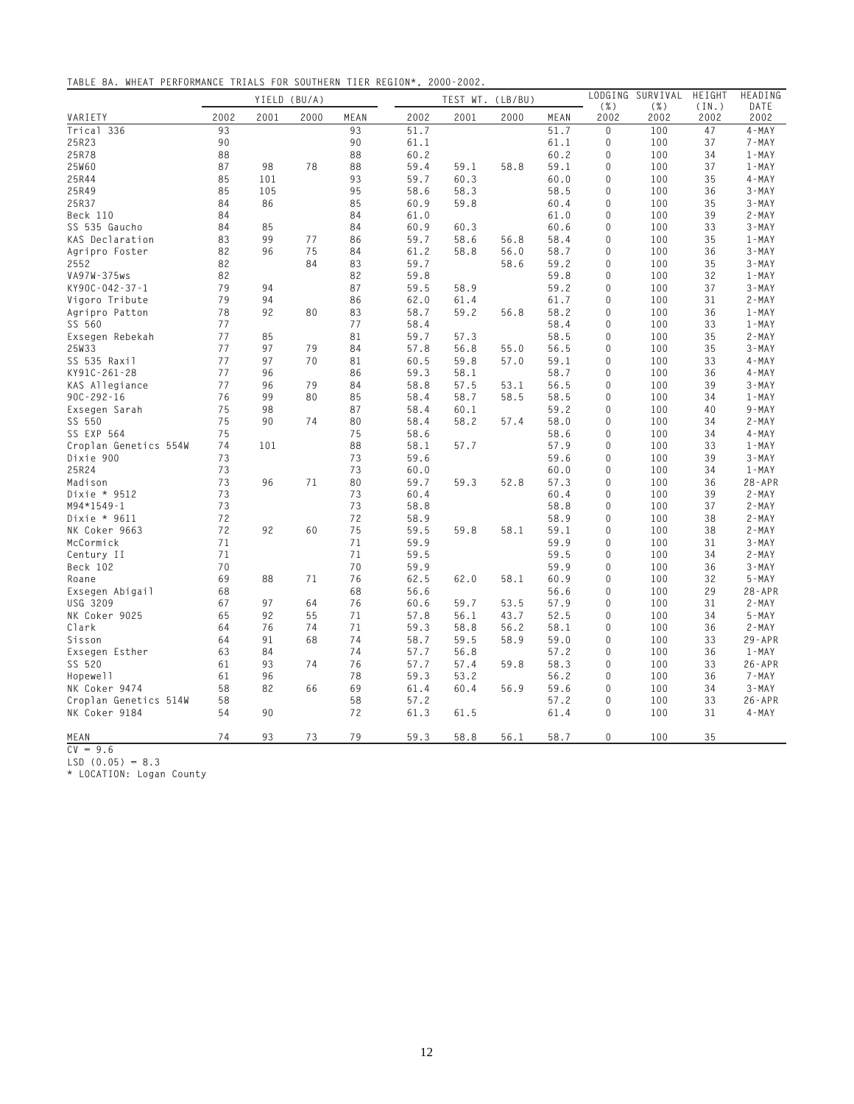**TABLE 8A. WHEAT PERFORMANCE TRIALS FOR SOUTHERN TIER REGION\*, 2000-2002.**

|                                    |      |      | YIELD (BU/A) |      |      |      | TEST WT. (LB/BU) |      | LODGING         | SURVIVAL        | HEIGHT        | HEADING      |
|------------------------------------|------|------|--------------|------|------|------|------------------|------|-----------------|-----------------|---------------|--------------|
| VARIETY                            | 2002 | 2001 | 2000         | MEAN | 2002 | 2001 | 2000             | MEAN | $(\% )$<br>2002 | $(\% )$<br>2002 | (IN.)<br>2002 | DATE<br>2002 |
| Trical 336                         | 93   |      |              | 93   | 51.7 |      |                  | 51.7 | $\Omega$        | 100             | 47            | $4 - MAX$    |
| 25R23                              | 90   |      |              | 90   | 61.1 |      |                  | 61.1 | 0               | 100             | 37            | $7 - MAX$    |
| 25R78                              | 88   |      |              | 88   | 60.2 |      |                  | 60.2 | 0               | 100             | 34            | $1 - MAX$    |
| 25W60                              | 87   | 98   | 78           | 88   | 59.4 | 59.1 | 58.8             | 59.1 | 0               | 100             | 37            | $1 - MAX$    |
| 25R44                              | 85   | 101  |              | 93   | 59.7 | 60.3 |                  | 60.0 | 0               | 100             | 35            | $4 - MAY$    |
| 25R49                              | 85   | 105  |              | 95   | 58.6 | 58.3 |                  | 58.5 | 0               | 100             | 36            | $3 - MAY$    |
| 25R37                              | 84   | 86   |              | 85   | 60.9 | 59.8 |                  | 60.4 | 0               | 100             | 35            | $3 - MAY$    |
| Beck 110                           | 84   |      |              | 84   | 61.0 |      |                  | 61.0 | 0               | 100             | 39            | $2 - MAX$    |
| SS 535 Gaucho                      | 84   | 85   |              | 84   | 60.9 | 60.3 |                  | 60.6 | 0               | 100             | 33            | $3 - MAY$    |
| KAS Declaration                    | 83   | 99   | 77           | 86   | 59.7 | 58.6 | 56.8             | 58.4 | 0               | 100             | 35            | $1 - MAX$    |
| Agripro Foster                     | 82   | 96   | 75           | 84   | 61.2 | 58.8 | 56.0             | 58.7 | 0               | 100             | 36            | $3 - MAY$    |
| 2552                               | 82   |      | 84           | 83   | 59.7 |      | 58.6             | 59.2 | $\mathbf 0$     | 100             | 35            | $3 - MAX$    |
| VA97W-375ws                        | 82   |      |              | 82   | 59.8 |      |                  | 59.8 | 0               | 100             | 32            | $1 - MAX$    |
| KY90C-042-37-1                     | 79   | 94   |              | 87   | 59.5 | 58.9 |                  | 59.2 | 0               | 100             | 37            | $3 - MAY$    |
| Vigoro Tribute                     | 79   | 94   |              | 86   | 62.0 | 61.4 |                  | 61.7 | 0               | 100             | 31            | 2-MAY        |
| Agripro Patton                     | 78   | 92   | 80           | 83   | 58.7 | 59.2 | 56.8             | 58.2 | $\Omega$        | 100             | 36            | $1 - MAX$    |
| SS 560                             | 77   |      |              | 77   | 58.4 |      |                  | 58.4 | 0               | 100             | 33            | $1 - MAX$    |
| Exsegen Rebekah                    | 77   | 85   |              | 81   | 59.7 | 57.3 |                  | 58.5 | 0               | 100             | 35            | $2 - MAX$    |
| 25W33                              | 77   | 97   | 79           | 84   | 57.8 | 56.8 | 55.0             | 56.5 | $\Omega$        | 100             | 35            | $3 - MAX$    |
| SS 535 Raxil                       | 77   | 97   | 70           | 81   | 60.5 | 59.8 | 57.0             | 59.1 | 0               | 100             | 33            | $4 - MAX$    |
| KY91C-261-28                       | 77   | 96   |              | 86   | 59.3 | 58.1 |                  | 58.7 | $\Omega$        | 100             | 36            | $4 - MAY$    |
|                                    | 77   | 96   | 79           | 84   | 58.8 | 57.5 | 53.1             | 56.5 | 0               | 100             | 39            | $3 - MAY$    |
| KAS Allegiance<br>$90C - 292 - 16$ | 76   | 99   | 80           | 85   | 58.4 | 58.7 | 58.5             | 58.5 | 0               | 100             | 34            | $1 - MAX$    |
|                                    | 75   | 98   |              | 87   | 58.4 | 60.1 |                  | 59.2 | 0               | 100             | 40            | $9 - MAY$    |
| Exsegen Sarah<br>SS 550            | 75   | 90   | 74           |      |      |      |                  | 58.0 | 0               | 100             | 34            | $2 - MAX$    |
|                                    |      |      |              | 80   | 58.4 | 58.2 | 57.4             |      |                 |                 |               |              |
| SS EXP 564                         | 75   |      |              | 75   | 58.6 |      |                  | 58.6 | 0               | 100             | 34            | $4 - MAX$    |
| Croplan Genetics 554W              | 74   | 101  |              | 88   | 58.1 | 57.7 |                  | 57.9 | 0               | 100             | 33            | $1 - MAX$    |
| Dixie 900                          | 73   |      |              | 73   | 59.6 |      |                  | 59.6 | 0               | 100             | 39            | $3 - MAY$    |
| 25R24                              | 73   |      |              | 73   | 60.0 |      |                  | 60.0 | 0               | 100             | 34            | $1 - MAX$    |
| Madison                            | 73   | 96   | 71           | 80   | 59.7 | 59.3 | 52.8             | 57.3 | 0               | 100             | 36            | $28 - APR$   |
| Dixie * 9512                       | 73   |      |              | 73   | 60.4 |      |                  | 60.4 | 0               | 100             | 39            | $2 - MAX$    |
| M94*1549-1                         | 73   |      |              | 73   | 58.8 |      |                  | 58.8 | 0               | 100             | 37            | $2 - MAY$    |
| Dixie * 9611                       | 72   |      |              | 72   | 58.9 |      |                  | 58.9 | 0               | 100             | 38            | $2 - MAX$    |
| NK Coker 9663                      | 72   | 92   | 60           | 75   | 59.5 | 59.8 | 58.1             | 59.1 | 0               | 100             | 38            | $2 - MAX$    |
| McCormick                          | 71   |      |              | 71   | 59.9 |      |                  | 59.9 | 0               | 100             | 31            | $3 - MAX$    |
| Century II                         | 71   |      |              | 71   | 59.5 |      |                  | 59.5 | 0               | 100             | 34            | $2 - MAX$    |
| Beck 102                           | 70   |      |              | 70   | 59.9 |      |                  | 59.9 | $\Omega$        | 100             | 36            | $3 - MAX$    |
| Roane                              | 69   | 88   | 71           | 76   | 62.5 | 62.0 | 58.1             | 60.9 | $\Omega$        | 100             | 32            | $5 - MAX$    |
| Exsegen Abigail                    | 68   |      |              | 68   | 56.6 |      |                  | 56.6 | 0               | 100             | 29            | $28 - APR$   |
| <b>USG 3209</b>                    | 67   | 97   | 64           | 76   | 60.6 | 59.7 | 53.5             | 57.9 | $\Omega$        | 100             | 31            | $2 - MAX$    |
| NK Coker 9025                      | 65   | 92   | 55           | 71   | 57.8 | 56.1 | 43.7             | 52.5 | 0               | 100             | 34            | $5 - MAX$    |
| Clark                              | 64   | 76   | 74           | 71   | 59.3 | 58.8 | 56.2             | 58.1 | 0               | 100             | 36            | $2 - MAX$    |
| Sisson                             | 64   | 91   | 68           | 74   | 58.7 | 59.5 | 58.9             | 59.0 | 0               | 100             | 33            | $29 - APR$   |
| Exsegen Esther                     | 63   | 84   |              | 74   | 57.7 | 56.8 |                  | 57.2 | 0               | 100             | 36            | $1 - MAX$    |
| SS 520                             | 61   | 93   | 74           | 76   | 57.7 | 57.4 | 59.8             | 58.3 | 0               | 100             | 33            | $26 - APR$   |
| Hopewell                           | 61   | 96   |              | 78   | 59.3 | 53.2 |                  | 56.2 | 0               | 100             | 36            | 7-MAY        |
| NK Coker 9474                      | 58   | 82   | 66           | 69   | 61.4 | 60.4 | 56.9             | 59.6 | 0               | 100             | 34            | $3 - MAX$    |
| Croplan Genetics 514W              | 58   |      |              | 58   | 57.2 |      |                  | 57.2 | 0               | 100             | 33            | $26 - APR$   |
| NK Coker 9184                      | 54   | 90   |              | 72   | 61.3 | 61.5 |                  | 61.4 | 0               | 100             | 31            | $4 - MAX$    |
| MEAN                               | 74   | 93   | 73           | 79   | 59.3 | 58.8 | 56.1             | 58.7 | 0               | 100             | 35            |              |

**CV = 9.6**

**LSD (0.05) = 8.3**

**\* LOCATION: Logan County**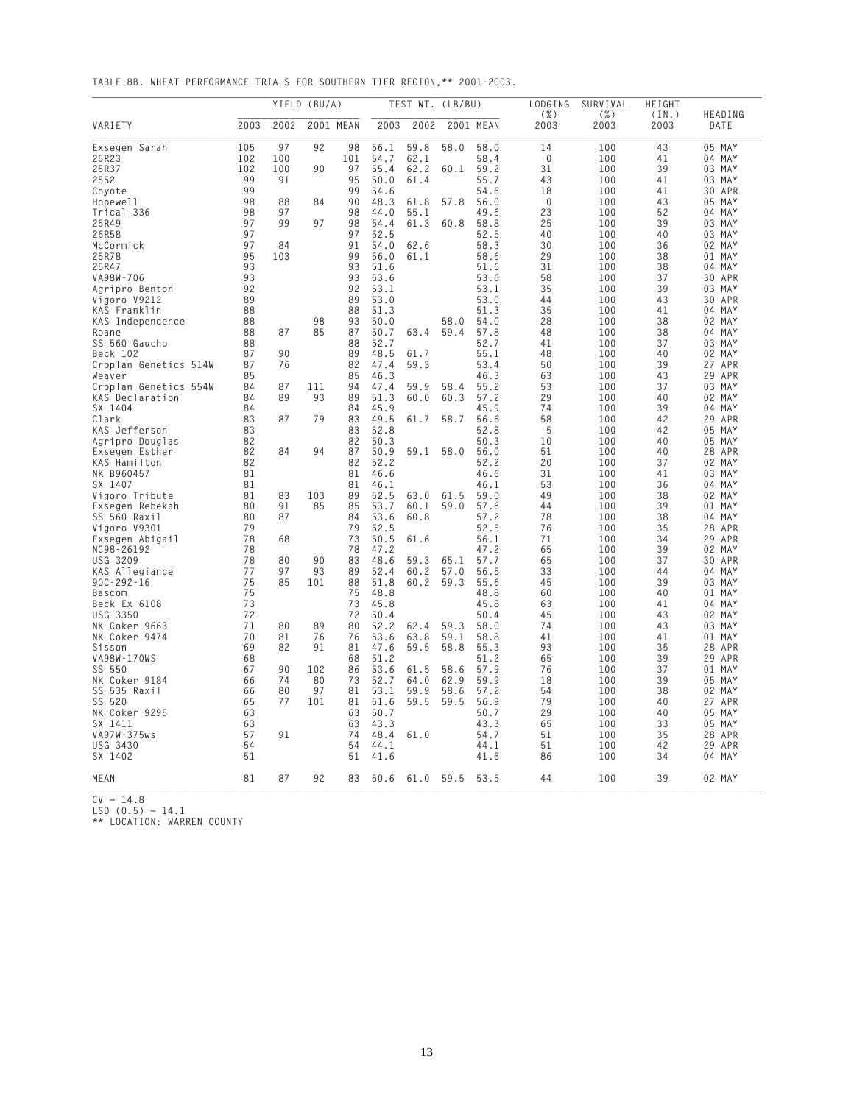**TABLE 8B. WHEAT PERFORMANCE TRIALS FOR SOUTHERN TIER REGION,\*\* 2001-2003.**

|                            | YIELD (BU/A) |          |     | TEST WT. (LB/BU) |                 |                |      | LODGING      | SURVIVAL        | HEIGHT       |               |                  |
|----------------------------|--------------|----------|-----|------------------|-----------------|----------------|------|--------------|-----------------|--------------|---------------|------------------|
| VARIETY                    | 2003         | 2002     |     | 2001 MEAN        | 2003            | 2002           |      | 2001 MEAN    | $(\% )$<br>2003 | ( %)<br>2003 | (IN.)<br>2003 | HEADING<br>DATE  |
| Exsegen Sarah              | 105          | 97       | 92  | 98               | 56.1            | 59.8           | 58.0 | 58.0         | 14              | 100          | 43            | 05 MAY           |
| 25R23                      | 102          | 100      |     | 101              | 54.7            | 62.1           |      | 58.4         | 0               | 100          | 41            | 04 MAY           |
| 25R37                      | 102          | 100      | 90  | 97               | 55.4            | 62.2           | 60.1 | 59.2         | 31              | 100          | 39            | 03 MAY           |
| 2552                       | 99           | 91       |     | 95               | 50.0            | 61.4           |      | 55.7         | 43              | 100          | 41            | 03 MAY           |
| Coyote                     | 99           |          |     | 99               | 54.6<br>48.3    |                |      | 54.6         | 18              | 100          | 41            | 30 APR           |
| Hopewell<br>Trical 336     | 98<br>98     | 88<br>97 | 84  | 90<br>98         | 44.0            | 61.8<br>55.1   | 57.8 | 56.0<br>49.6 | 0<br>23         | 100<br>100   | 43<br>52      | 05 MAY<br>04 MAY |
| 25R49                      | 97           | 99       | 97  | 98               | 54.4            | 61.3           | 60.8 | 58.8         | 25              | 100          | 39            | 03 MAY           |
| 26R58                      | 97           |          |     | 97               | 52.5            |                |      | 52.5         | 40              | 100          | 40            | 03 MAY           |
| McCormick                  | 97           | 84       |     | 91               | 54.0            | 62.6           |      | 58.3         | 30              | 100          | 36            | 02 MAY           |
| 25R78                      | 95           | 103      |     | 99               | 56.0            | 61.1           |      | 58.6         | 29              | 100          | 38            | 01<br>MAY        |
| 25R47                      | 93           |          |     | 93               | 51.6            |                |      | 51.6         | 31              | 100          | 38            | 04 MAY           |
| VA98W-706                  | 93           |          |     | 93               | 53.6            |                |      | 53.6         | 58              | 100          | 37            | 30 APR           |
| Agripro Benton             | 92           |          |     | 92               | 53.1            |                |      | 53.1         | 35              | 100          | 39            | 03 MAY           |
| Vigoro V9212               | 89           |          |     | 89               | 53.0            |                |      | 53.0         | 44              | 100          | 43            | APR<br>30        |
| KAS Franklin               | 88           |          |     | 88               | 51.3            |                |      | 51.3         | 35              | 100          | 41            | 04 MAY           |
| KAS Independence           | 88           |          | 98  | 93               | 50.0            |                | 58.0 | 54.0         | 28              | 100          | 38            | 02 MAY           |
| Roane<br>SS 560 Gaucho     | 88<br>88     | 87       | 85  | 87<br>88         | 50.7<br>52.7    | 63.4           | 59.4 | 57.8<br>52.7 | 48<br>41        | 100<br>100   | 38<br>37      | 04 MAY<br>03 MAY |
| Beck 102                   | 87           | 90       |     | 89               | 48.5            | 61.7           |      | 55.1         | 48              | 100          | 40            | 02 MAY           |
| Croplan Genetics 514W      | 87           | 76       |     | 82               | 47.4            | 59.3           |      | 53.4         | 50              | 100          | 39            | 27<br>APR        |
| Weaver                     | 85           |          |     | 85               | 46.3            |                |      | 46.3         | 63              | 100          | 43            | APR<br>29        |
| Croplan Genetics 554W      | 84           | 87       | 111 | 94               | 47.4            | 59.9           | 58.4 | 55.2         | 53              | 100          | 37            | 03 MAY           |
| KAS Declaration            | 84           | 89       | 93  | 89               | 51.3            | 60.0           | 60.3 | 57.2         | 29              | 100          | 40            | 02 MAY           |
| SX 1404                    | 84           |          |     | 84               | 45.9            |                |      | 45.9         | 74              | 100          | 39            | 04 MAY           |
| Clark                      | 83           | 87       | 79  | 83               | 49.5            | 61.7           | 58.7 | 56.6         | 58              | 100          | 42            | 29 APR           |
| KAS Jefferson              | 83           |          |     | 83               | 52.8            |                |      | 52.8         | 5               | 100          | 42            | 05 MAY           |
| Agripro Douglas            | 82           |          |     | 82               | 50.3            |                |      | 50.3         | 10              | 100          | 40            | 05 MAY           |
| Exsegen Esther             | 82           | 84       | 94  | 87               | 50.9            | 59.1           | 58.0 | 56.0         | 51              | 100          | 40            | 28 APR<br>02 MAY |
| KAS Hamilton<br>NK B960457 | 82<br>81     |          |     | 82<br>81         | 52.2<br>46.6    |                |      | 52.2<br>46.6 | 20<br>31        | 100<br>100   | 37<br>41      | 03<br>MAY        |
| SX 1407                    | 81           |          |     | 81               | 46.1            |                |      | 46.1         | 53              | 100          | 36            | 04 MAY           |
| Vigoro Tribute             | 81           | 83       | 103 | 89               | 52.5            | 63.0           | 61.5 | 59.0         | 49              | 100          | 38            | 02 MAY           |
| Exsegen Rebekah            | 80           | 91       | 85  | 85               | 53.7            | 60.1           | 59.0 | 57.6         | 44              | 100          | 39            | 01 MAY           |
| SS 560 Raxil               | 80           | 87       |     | 84               | 53.6            | 60.8           |      | 57.2         | 78              | 100          | 38            | 04 MAY           |
| Vigoro V9301               | 79           |          |     | 79               | 52.5            |                |      | 52.5         | 76              | 100          | 35            | 28 APR           |
| Exsegen Abigail            | 78           | 68       |     | 73               | 50.5            | 61.6           |      | 56.1         | 71              | 100          | 34            | 29<br>APR        |
| NC98-26192                 | 78           |          |     | 78               | 47.2            |                |      | 47.2         | 65              | 100          | 39            | 02 MAY           |
| USG 3209                   | 78           | 80       | 90  | 83               | 48.6            | 59.3           | 65.1 | 57.7         | 65              | 100          | 37            | 30 APR           |
| KAS Allegiance             | 77           | 97       | 93  | 89               | 52.4            | 60.2           | 57.0 | 56.5         | 33              | 100          | 44            | 04 MAY           |
| $90C - 292 - 16$           | 75<br>75     | 85       | 101 | 88               | 51.8            | 60.2           | 59.3 | 55.6<br>48.8 | 45              | 100          | 39<br>40      | 03<br>MAY        |
| Bascom<br>Beck Ex 6108     | 73           |          |     | 75<br>73         | 48.8<br>45.8    |                |      | 45.8         | 60<br>63        | 100<br>100   | 41            | 01 MAY<br>04 MAY |
| USG 3350                   | 72           |          |     | 72               | 50.4            |                |      | 50.4         | 45              | 100          | 43            | 02 MAY           |
| NK Coker 9663              | 71           | 80       | 89  | 80               | 52.2            | 62.4           | 59.3 | 58.0         | 74              | 100          | 43            | 03 MAY           |
| NK Coker 9474              | 70           | 81       | 76  | 76               | 53.6            | 63.8           | 59.1 | 58.8         | 41              | 100          | 41            | 01 MAY           |
| Sisson                     | 69           | 82       | 91  | 81               | 47.6            | 59.5           | 58.8 | 55.3         | 93              | 100          | 35            | 28<br>APR        |
| VA98W-170WS                | 68           |          |     | 68               | 51.2            |                |      | 51.2         | 65              | 100          | 39            | 29<br>APR        |
| SS 550                     | 67           | 90       | 102 | 86               | 53.6            | 61.5           | 58.6 | 57.9         | 76              | 100          | 37            | 01 MAY           |
| NK Coker 9184              | 66           | 74       | 80  | 73               | 52.7            | 64.0           | 62.9 | 59.9         | 18              | 100          | 39            | 05 MAY           |
| SS 535 Raxil               | 66           | 80       | 97  | 81               | 53.1            | 59.9           | 58.6 | 57.2         | 54              | 100          | 38            | 02<br>MAY        |
| SS 520                     | 65           | 77       | 101 | 81               | 51.6            | 59.5           | 59.5 | 56.9         | 79              | 100          | 40            | 27 APR           |
| NK Coker 9295<br>SX 1411   | 63<br>63     |          |     | 63               | 50.7<br>63 43.3 |                |      | 50.7<br>43.3 | 29<br>65        | 100<br>100   | 40<br>33      | 05 MAY<br>05 MAY |
| VA97W-375ws                | 57           | 91       |     | 74               | 48.4            | 61.0           |      | 54.7         | 51              | 100          | 35            | 28 APR           |
| USG 3430                   | 54           |          |     | 54               | 44.1            |                |      | 44.1         | 51              | 100          | 42            | 29 APR           |
| SX 1402                    | 51           |          |     | 51               | 41.6            |                |      | 41.6         | 86              | 100          | 34            | 04 MAY           |
| MEAN                       | 81           | 87       | 92  | 83               |                 | 50.6 61.0 59.5 |      | 53.5         | 44              | 100          | 39            | 02 MAY           |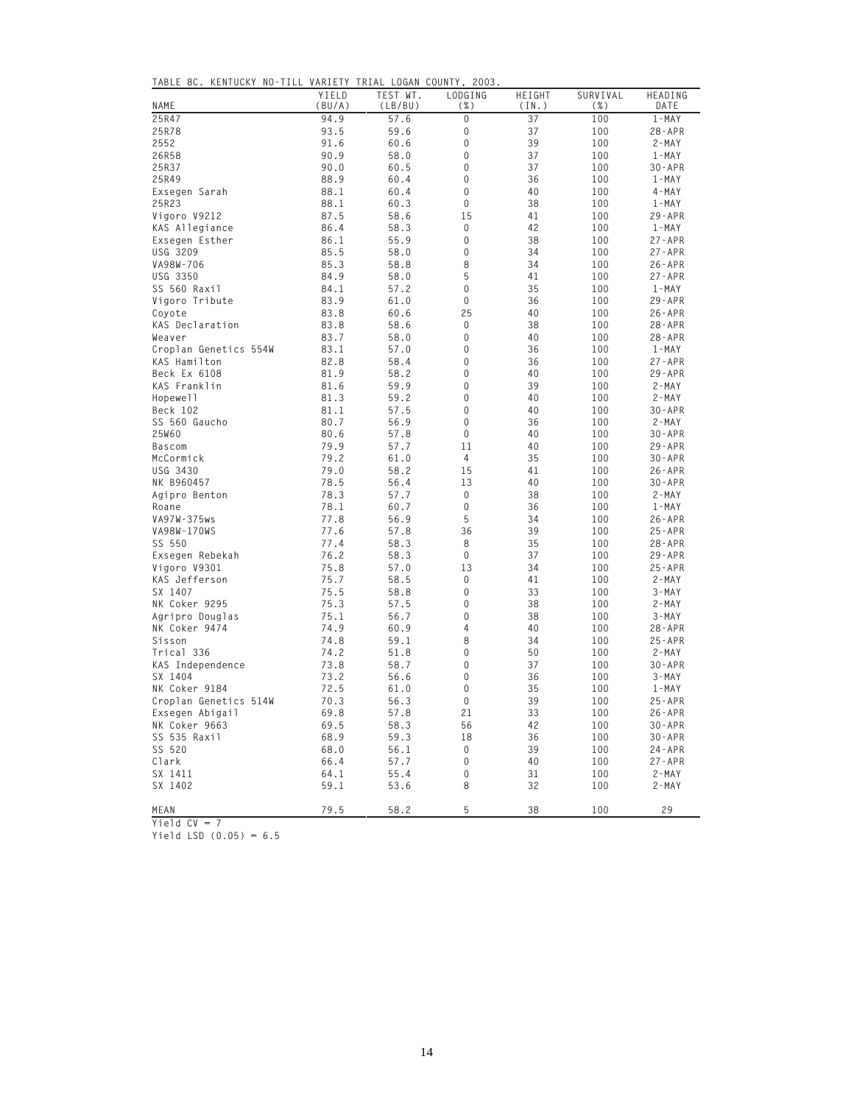|  |  | TABLE 8C. KENTUCKY NO-TILL VARIETY TRIAL LOGAN COUNTY, 2003. |  |  |  |  |  |  |
|--|--|--------------------------------------------------------------|--|--|--|--|--|--|
|--|--|--------------------------------------------------------------|--|--|--|--|--|--|

| NAME                  | YIELD<br>(BU/A) | TEST WT.<br>(LB/BU) | LODGING<br>( %)  | HEIGHT<br>(IN.) | SURVIVAL<br>$(\% )$ | HEADING<br>DATE |
|-----------------------|-----------------|---------------------|------------------|-----------------|---------------------|-----------------|
| 25R47                 | 94.9            | 57.6                | 0                | 37              | 100                 | $1 - MAX$       |
| 25R78                 | 93.5            | 59.6                | $\overline{0}$   | 37              | 100                 | $28 - APR$      |
| 2552                  | 91.6            | 60.6                | 0                | 39              | 100                 | $2 - MAX$       |
| 26R58                 | 90.9            | 58.0                | 0                | 37              | 100                 | $1 - MAX$       |
| 25R37                 | 90.0            | 60.5                | 0                | 37              | 100                 | $30 - APR$      |
| 25R49                 | 88.9            | 60.4                | 0                | 36              | 100                 | $1 - MAX$       |
| Exsegen Sarah         | 88.1            | 60.4                | $\mathbf 0$      | 40              | 100                 | $4 - MAX$       |
| 25R23                 | 88.1            | 60.3                | $\mathbf 0$      | 38              | 100                 | $1 - MAX$       |
| Vigoro V9212          | 87.5            | 58.6                | 15               | 41              | 100                 | $29 - APR$      |
| KAS Allegiance        | 86.4            | 58.3                | 0                | 42              | 100                 | $1 - MAX$       |
| Exsegen Esther        | 86.1            | 55.9                | $\mathbf 0$      | 38              | 100                 | $27 - APR$      |
| USG 3209              | 85.5            | 58.0                | $\boldsymbol{0}$ | 34              | 100                 | $27 - APR$      |
| VA98W-706             | 85.3            | 58.8                | 8                | 34              | 100                 | $26 - APR$      |
| USG 3350              | 84.9            | 58.0                | 5                | 41              | 100                 | $27 - APR$      |
| SS 560 Raxil          | 84.1            | 57.2                | $\mathbf 0$      | 35              | 100                 | $1 - MAX$       |
| Vigoro Tribute        | 83.9            | 61.0                | $\boldsymbol{0}$ | 36              | 100                 | $29 - APR$      |
| Coyote                | 83.8            | 60.6                | 25               | 40              | 100                 | $26 - APR$      |
| KAS Declaration       | 83.8            | 58.6                | 0                | 38              | 100                 | $28 - APR$      |
| Weaver                | 83.7            | 58.0                | $\mathbf 0$      | 40              | 100                 | $28 - APR$      |
| Croplan Genetics 554W | 83.1            | 57.0                | $\mathbf 0$      | 36              | 100                 | $1 - MAX$       |
| KAS Hamilton          | 82.8            | 58.4                | 0                | 36              | 100                 | $27 - APR$      |
| Beck Ex 6108          | 81.9            | 58.2                | $\Omega$         | 40              | 100                 | $29 - APR$      |
| KAS Franklin          | 81.6            | 59.9                | $\Omega$         | 39              | 100                 | $2 - MAX$       |
| Hopewell              | 81.3            | 59.2                | 0                | 40              | 100                 | $2 - MAX$       |
| Beck 102              | 81.1            | 57.5                | 0                | 40              | 100                 | $30 - APR$      |
| SS 560 Gaucho         | 80.7            | 56.9                | $\Omega$         | 36              | 100                 | $2 - MAX$       |
| 25W60                 | 80.6            | 57.8                | $\mathbf 0$      | 40              | 100                 | $30 - APR$      |
| <b>Bascom</b>         | 79.9            | 57.7                | 11               | 40              | 100                 | $29 - APR$      |
| McCormick             | 79.2            | 61.0                | $\overline{4}$   | 35              | 100                 | $30 - APR$      |
| USG 3430              | 79.0            | 58.2                | 15               | 41              | 100                 | $26 - APR$      |
| NK B960457            | 78.5            | 56.4                | 13               | 40              | 100                 | $30 - APR$      |
| Agipro Benton         | 78.3            | 57.7                | 0                | 38              | 100                 | $2 - MAX$       |
| Roane                 | 78.1            | 60.7                | $\mathbf 0$      | 36              | 100                 | $1 - MAX$       |
| VA97W-375ws           | 77.8            | 56.9                | 5                | 34              | 100                 | $26 - APR$      |
| VA98W-170WS           | 77.6            | 57.8                | 36               | 39              | 100                 | $25 - APR$      |
| SS 550                | 77.4            | 58.3                | 8                | 35              | 100                 | $28 - APR$      |
| Exsegen Rebekah       | 76.2            | 58.3                | $\Omega$         | 37              | 100                 | $29 - APR$      |
| Vigoro V9301          | 75.8            | 57.0                | 13               | 34              | 100                 | $25 - APR$      |
| KAS Jefferson         | 75.7            | 58.5                | $\mathbf 0$      | 41              | 100                 | $2 - MAX$       |
| SX 1407               | 75.5            | 58.8                | $\mathbf 0$      | 33              | 100                 | $3 - MAX$       |
| NK Coker 9295         | 75.3            | 57.5                | $\Omega$         | 38              | 100                 | $2 - MAX$       |
| Agripro Douglas       | 75.1            | 56.7                | 0                | 38              | 100                 | $3 - MAX$       |
| NK Coker 9474         | 74.9            | 60.9                | 4                | 40              | 100                 | $28 - APR$      |
| Sisson                | 74.8            | 59.1                | 8                | 34              | 100                 | $25 - APR$      |
| Trical 336            | 74.2            | 51.8                | 0                | 50              | 100                 | $2 - MAX$       |
| KAS Independence      | 73.8            | 58.7                | $\overline{0}$   | 37              | 100                 | $30 - APR$      |
| SX 1404               | 73.2            | 56.6                | 0                | 36              | 100                 | $3 - MAX$       |
| NK Coker 9184         | 72.5            | 61.0                | $\mathbf 0$      | 35              | 100                 | $1 - MAX$       |
| Croplan Genetics 514W | 70.3            | 56.3                | $\boldsymbol{0}$ | 39              | 100                 | $25 - APR$      |
| Exsegen Abigail       | 69.8            | 57.8                | 21               | 33              | 100                 | $26 - APR$      |
| NK Coker 9663         | 69.5            | 58.3                | 56               | 42              | 100                 | $30 - APR$      |
| SS 535 Raxil          | 68.9            | 59.3                | 18               | 36              | 100                 | $30 - APR$      |
| SS 520                | 68.0            | 56.1                | $\boldsymbol{0}$ | 39              | 100                 | $24 - APR$      |
| Clark                 | 66.4            | 57.7                | 0                | 40              | 100                 | $27 - APR$      |
| SX 1411               | 64.1            | 55.4                | 0                | 31              | 100                 | $2 - MAX$       |
| SX 1402               | 59.1            | 53.6                | 8                | 32              | 100                 | $2 - MAX$       |
| MEAN                  | 79.5            | 58.2                | 5                | 38              | 100                 | 29              |

**Yield CV = 7**

**Yield LSD (0.05) = 6.5**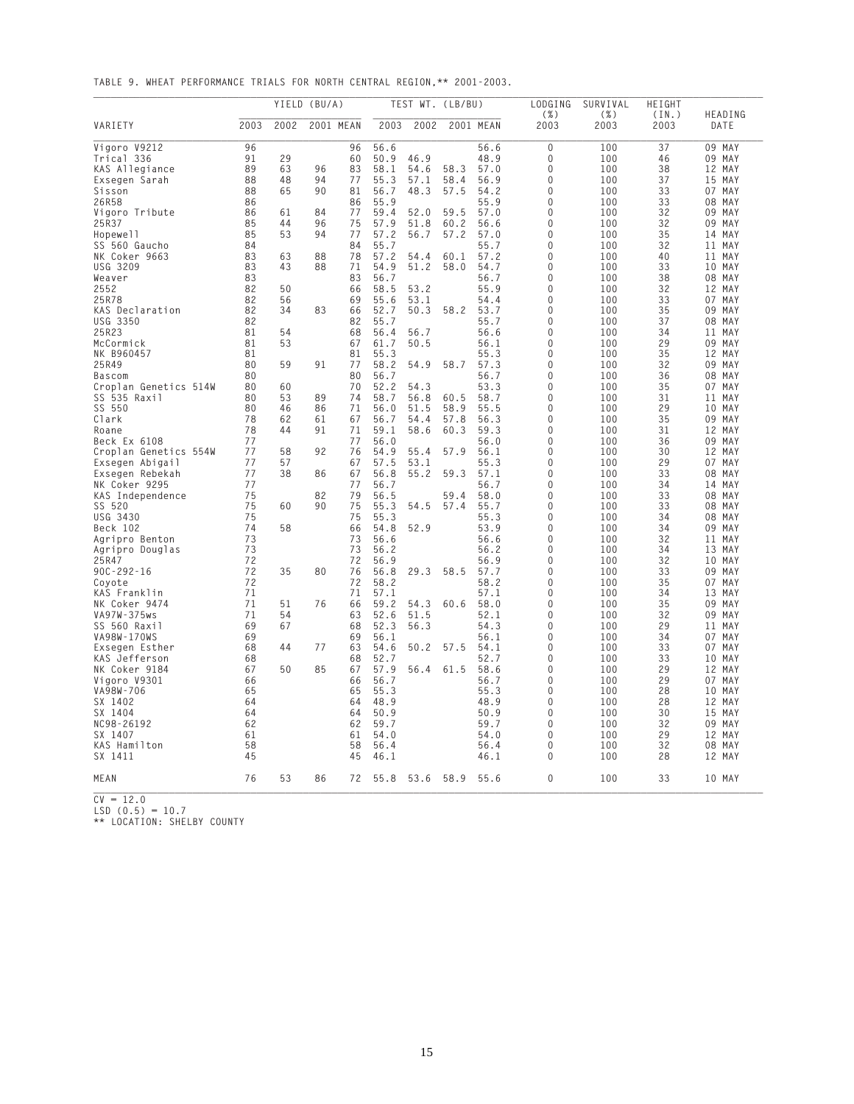**TABLE 9. WHEAT PERFORMANCE TRIALS FOR NORTH CENTRAL REGION,\*\* 2001-2003.**

|                       |      |      | YIELD (BU/A) |    |         | TEST WT. (LB/BU) |      |           | LODGING<br>$(\% )$ | SURVIVAL<br>$(\% )$ | HEIGHT<br>(IN.) | HEADING   |
|-----------------------|------|------|--------------|----|---------|------------------|------|-----------|--------------------|---------------------|-----------------|-----------|
| VARIETY               | 2003 | 2002 | 2001 MEAN    |    | 2003    | 2002             |      | 2001 MEAN | 2003               | 2003                | 2003            | DATE      |
| Vigoro V9212          | 96   |      |              | 96 | 56.6    |                  |      | 56.6      | 0                  | 100                 | 37              | 09 MAY    |
| Trical 336            | 91   | 29   |              | 60 | 50.9    | 46.9             |      | 48.9      | 0                  | 100                 | 46              | 09 MAY    |
| KAS Allegiance        | 89   | 63   | 96           | 83 | 58.1    | 54.6             | 58.3 | 57.0      | 0                  | 100                 | 38              | 12 MAY    |
| Exsegen Sarah         | 88   | 48   | 94           | 77 | 55.3    | 57.1             | 58.4 | 56.9      | 0                  | 100                 | 37              | 15 MAY    |
| Sisson                | 88   | 65   | 90           | 81 | 56.7    | 48.3             | 57.5 | 54.2      | 0                  | 100                 | 33              | 07 MAY    |
| 26R58                 | 86   |      |              | 86 | 55.9    |                  |      | 55.9      | 0                  | 100                 | 33              | 08 MAY    |
| Vigoro Tribute        | 86   | 61   | 84           | 77 | 59.4    | 52.0             | 59.5 | 57.0      | $\mathbf{0}$       | 100                 | 32              | 09 MAY    |
| 25R37                 | 85   | 44   | 96           | 75 | 57.9    | 51.8             | 60.2 | 56.6      | 0                  | 100                 | 32              | 09 MAY    |
| Hopewell              | 85   | 53   | 94           | 77 | 57.2    | 56.7             | 57.2 | 57.0      | 0                  | 100                 | 35              | 14 MAY    |
| SS 560 Gaucho         | 84   |      |              | 84 | 55.7    |                  |      | 55.7      | 0                  | 100                 | 32              | MAY<br>11 |
| NK Coker 9663         | 83   | 63   | 88           | 78 | 57.2    | 54.4             | 60.1 | 57.2      | $\Omega$           | 100                 | 40              | 11 MAY    |
| USG 3209              | 83   | 43   | 88           | 71 | 54.9    | 51.2             | 58.0 | 54.7      | 0                  | 100                 | 33              | 10 MAY    |
| Weaver                | 83   |      |              | 83 | 56.7    |                  |      | 56.7      | $\Omega$           | 100                 | 38              | 08 MAY    |
| 2552                  | 82   | 50   |              | 66 | 58.5    | 53.2             |      | 55.9      | 0                  | 100                 | 32              | 12 MAY    |
| 25R78                 | 82   | 56   |              | 69 | 55.6    | 53.1             |      | 54.4      | 0                  | 100                 | 33              | 07 MAY    |
| KAS Declaration       | 82   | 34   | 83           | 66 | 52.7    | 50.3             | 58.2 | 53.7      | 0                  | 100                 | 35              | 09 MAY    |
| USG 3350              | 82   |      |              | 82 | 55.7    |                  |      | 55.7      | $\mathbf{0}$       | 100                 | 37              | 08 MAY    |
| 25R23                 | 81   | 54   |              | 68 | 56.4    | 56.7             |      | 56.6      | 0                  | 100                 | 34              | 11 MAY    |
| McCormick             | 81   | 53   |              | 67 | 61.7    | 50.5             |      | 56.1      | 0                  | 100                 | 29              | 09 MAY    |
| NK B960457            | 81   |      |              | 81 | 55.3    |                  |      | 55.3      | 0                  | 100                 | 35              | 12 MAY    |
| 25R49                 | 80   | 59   | 91           | 77 | 58.2    | 54.9             | 58.7 | 57.3      | $\Omega$           | 100                 | 32              | 09 MAY    |
| <b>Bascom</b>         | 80   |      |              | 80 | 56.7    |                  |      | 56.7      | 0                  | 100                 | 36              | 08 MAY    |
| Croplan Genetics 514W | 80   | 60   |              | 70 | 52.2    | 54.3             |      | 53.3      | $\Omega$           | 100                 | 35              | 07 MAY    |
| SS 535 Raxil          | 80   | 53   | 89           | 74 | 58.7    | 56.8             | 60.5 | 58.7      | 0                  | 100                 | 31              | 11 MAY    |
| SS 550                | 80   | 46   | 86           | 71 | 56.0    | 51.5             | 58.9 | 55.5      | 0                  | 100                 | 29              | 10 MAY    |
| Clark                 | 78   | 62   | 61           | 67 | 56.7    | 54.4             | 57.8 | 56.3      | 0                  | 100                 | 35              | 09 MAY    |
| Roane                 | 78   | 44   | 91           | 71 | 59.1    | 58.6             | 60.3 | 59.3      | 0                  | 100                 | 31              | 12 MAY    |
| Beck Ex 6108          | 77   |      |              | 77 | 56.0    |                  |      | 56.0      | 0                  | 100                 | 36              | 09 MAY    |
| Croplan Genetics 554W | 77   | 58   | 92           | 76 | 54.9    | 55.4             | 57.9 | 56.1      | 0                  | 100                 | 30              | 12 MAY    |
| Exsegen Abigail       | 77   | 57   |              | 67 | 57.5    | 53.1             |      | 55.3      | 0                  | 100                 | 29              | 07 MAY    |
|                       | 77   | 38   | 86           | 67 | 56.8    | 55.2             | 59.3 | 57.1      | $\Omega$           | 100                 | 33              | 08 MAY    |
| Exsegen Rebekah       |      |      |              |    |         |                  |      |           | 0                  |                     |                 |           |
| NK Coker 9295         | 77   |      |              | 77 | 56.7    |                  |      | 56.7      | $\Omega$           | 100                 | 34              | 14 MAY    |
| KAS Independence      | 75   |      | 82           | 79 | 56.5    |                  | 59.4 | 58.0      |                    | 100                 | 33              | 08 MAY    |
| SS 520                | 75   | 60   | 90           | 75 | 55.3    | 54.5             | 57.4 | 55.7      | 0                  | 100                 | 33              | 08 MAY    |
| USG 3430              | 75   |      |              | 75 | 55.3    |                  |      | 55.3      | 0                  | 100                 | 34              | 08 MAY    |
| Beck 102              | 74   | 58   |              | 66 | 54.8    | 52.9             |      | 53.9      | 0                  | 100                 | 34              | 09 MAY    |
| Agripro Benton        | 73   |      |              | 73 | 56.6    |                  |      | 56.6      | 0                  | 100                 | 32              | 11 MAY    |
| Agripro Douglas       | 73   |      |              | 73 | 56.2    |                  |      | 56.2      | 0                  | 100                 | 34              | 13 MAY    |
| 25R47                 | 72   |      |              | 72 | 56.9    |                  |      | 56.9      | 0                  | 100                 | 32              | 10 MAY    |
| $90C - 292 - 16$      | 72   | 35   | 80           | 76 | 56.8    | 29.3             | 58.5 | 57.7      | 0                  | 100                 | 33              | 09 MAY    |
| Coyote                | 72   |      |              | 72 | 58.2    |                  |      | 58.2      | $\Omega$           | 100                 | 35              | 07 MAY    |
| KAS Franklin          | 71   |      |              | 71 | 57.1    |                  |      | 57.1      | 0                  | 100                 | 34              | 13 MAY    |
| NK Coker 9474         | 71   | 51   | 76           | 66 | 59.2    | 54.3             | 60.6 | 58.0      | 0                  | 100                 | 35              | 09 MAY    |
| VA97W-375ws           | 71   | 54   |              | 63 | 52.6    | 51.5             |      | 52.1      | 0                  | 100                 | 32              | 09 MAY    |
| SS 560 Raxil          | 69   | 67   |              | 68 | 52.3    | 56.3             |      | 54.3      | 0                  | 100                 | 29              | 11 MAY    |
| VA98W-170WS           | 69   |      |              | 69 | 56.1    |                  |      | 56.1      | 0                  | 100                 | 34              | 07 MAY    |
| Exsegen Esther        | 68   | 44   | 77           | 63 | 54.6    | 50.2             | 57.5 | 54.1      | 0                  | 100                 | 33              | 07 MAY    |
| KAS Jefferson         | 68   |      |              | 68 | 52.7    |                  |      | 52.7      | 0                  | 100                 | 33              | 10 MAY    |
| NK Coker 9184         | 67   | 50   | 85           | 67 | 57.9    | 56.4             | 61.5 | 58.6      | 0                  | 100                 | 29              | 12 MAY    |
| Vigoro V9301          | 66   |      |              | 66 | 56.7    |                  |      | 56.7      | 0                  | 100                 | 29              | 07 MAY    |
| VA98W-706             | 65   |      |              | 65 | 55.3    |                  |      | 55.3      | $\Omega$           | 100                 | 28              | 10 MAY    |
| SX 1402               | 64   |      |              | 64 | 48.9    |                  |      | 48.9      | 0                  | 100                 | 28              | 12 MAY    |
| SX 1404               | 64   |      |              | 64 | 50.9    |                  |      | 50.9      | U                  | 100                 | 30              | 15 MAY    |
| NC98-26192            | 62   |      |              |    | 62 59.7 |                  |      | 59.7      | 0                  | 100                 | 32              | 09 MAY    |
| SX 1407               | 61   |      |              | 61 | 54.0    |                  |      | 54.0      | 0                  | 100                 | 29              | 12 MAY    |
| KAS Hamilton          | 58   |      |              | 58 | 56.4    |                  |      | 56.4      | 0                  | 100                 | 32              | 08 MAY    |
| SX 1411               | 45   |      |              | 45 | 46.1    |                  |      | 46.1      | 0                  | 100                 | 28              | 12 MAY    |
| MEAN                  | 76   | 53   | 86           | 72 | 55.8    | 53.6 58.9        |      | 55.6      | 0                  | 100                 | 33              | 10 MAY    |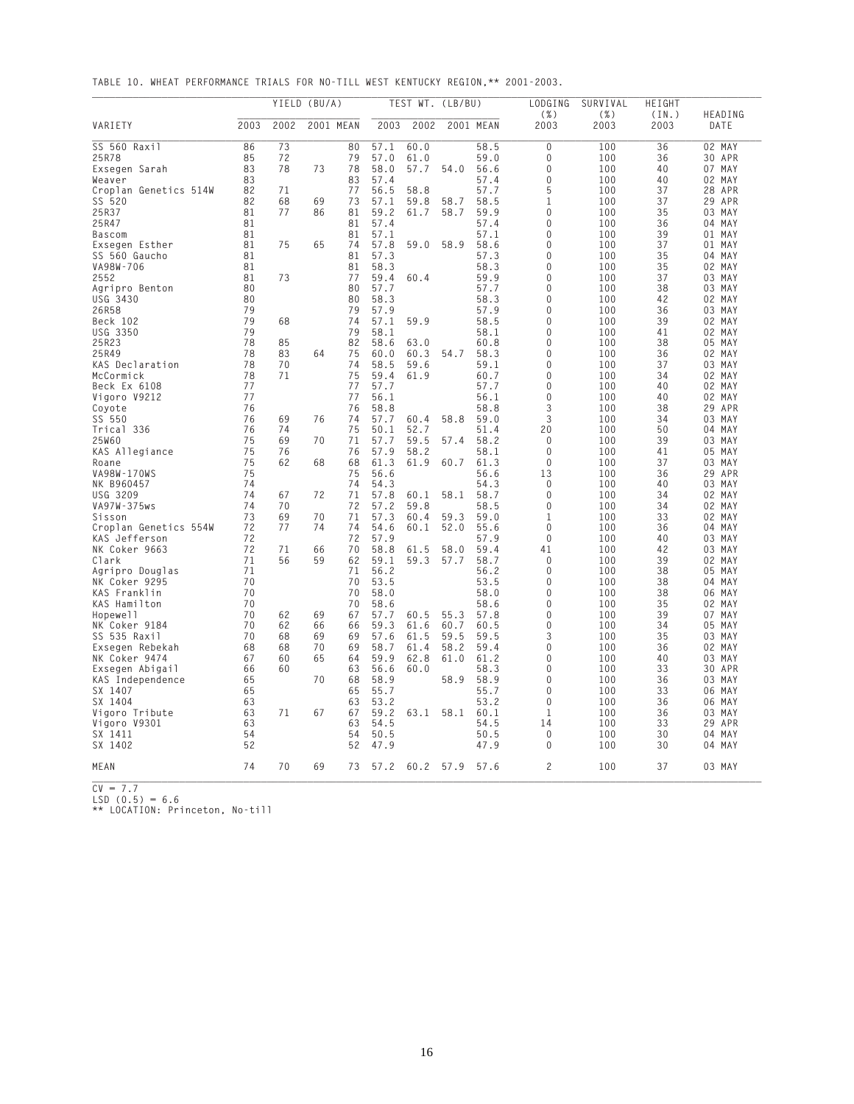**TABLE 10. WHEAT PERFORMANCE TRIALS FOR NO-TILL WEST KENTUCKY REGION,\*\* 2001-2003.**

|                       |      |      | YIELD (BU/A) |           |      | TEST WT. (LB/BU) |      |           | LODGING         | SURVIVAL        | HEIGHT        |                 |
|-----------------------|------|------|--------------|-----------|------|------------------|------|-----------|-----------------|-----------------|---------------|-----------------|
| VARIETY               | 2003 | 2002 |              | 2001 MEAN | 2003 | 2002             |      | 2001 MEAN | $(\% )$<br>2003 | $(\% )$<br>2003 | (IN.)<br>2003 | HEADING<br>DATE |
| SS 560 Raxil          | 86   | 73   |              | 80        | 57.1 | 60.0             |      | 58.5      | 0               | 100             | 36            | 02 MAY          |
| 25R78                 | 85   | 72   |              | 79        | 57.0 | 61.0             |      | 59.0      | 0               | 100             | 36            | 30 APR          |
| Exsegen Sarah         | 83   | 78   | 73           | 78        | 58.0 | 57.7             | 54.0 | 56.6      | $\Omega$        | 100             | 40            | 07 MAY          |
| Weaver                | 83   |      |              | 83        | 57.4 |                  |      | 57.4      | 0               | 100             | 40            | 02 MAY          |
| Croplan Genetics 514W | 82   | 71   |              | 77        | 56.5 | 58.8             |      | 57.7      | 5               | 100             | 37            | 28 APR          |
| SS 520                | 82   | 68   | 69           | 73        | 57.1 | 59.8             | 58.7 | 58.5      | $\mathbf{1}$    | 100             | 37            | 29 APR          |
| 25R37                 | 81   | 77   | 86           | 81        | 59.2 | 61.7             | 58.7 | 59.9      | 0               | 100             | 35            | 03 MAY          |
| 25R47                 | 81   |      |              | 81        | 57.4 |                  |      | 57.4      | 0               | 100             | 36            | 04 MAY          |
| <b>Bascom</b>         | 81   |      |              | 81        | 57.1 |                  |      | 57.1      | 0               | 100             | 39            | 01 MAY          |
| Exsegen Esther        | 81   | 75   | 65           | 74        | 57.8 | 59.0             | 58.9 | 58.6      | 0<br>$\Omega$   | 100             | 37            | 01 MAY          |
| SS 560 Gaucho         | 81   |      |              | 81        | 57.3 |                  |      | 57.3      |                 | 100             | 35            | 04 MAY          |
| VA98W-706             | 81   |      |              | 81        | 58.3 |                  |      | 58.3      | 0               | 100             | 35            | 02 MAY          |
| 2552                  | 81   | 73   |              | 77        | 59.4 | 60.4             |      | 59.9      | 0               | 100             | 37            | 03 MAY          |
| Agripro Benton        | 80   |      |              | 80        | 57.7 |                  |      | 57.7      | 0               | 100             | 38            | 03 MAY          |
| USG 3430              | 80   |      |              | 80        | 58.3 |                  |      | 58.3      | 0               | 100             | 42            | 02 MAY          |
| 26R58                 | 79   |      |              | 79        | 57.9 |                  |      | 57.9      | 0               | 100             | 36            | 03 MAY          |
| Beck 102              | 79   | 68   |              | 74        | 57.1 | 59.9             |      | 58.5      | $\Omega$        | 100             | 39            | 02 MAY          |
| USG 3350              | 79   |      |              | 79        | 58.1 |                  |      | 58.1      | $\Omega$        | 100             | 41            | 02 MAY          |
| 25R23                 | 78   | 85   |              | 82        | 58.6 | 63.0             |      | 60.8      | $\Omega$        | 100             | 38            | 05 MAY          |
| 25R49                 | 78   | 83   | 64           | 75        | 60.0 | 60.3             | 54.7 | 58.3      | 0               | 100             | 36            | 02 MAY          |
| KAS Declaration       | 78   | 70   |              | 74        | 58.5 | 59.6             |      | 59.1      | 0               | 100             | 37            | 03 MAY          |
| McCormick             | 78   | 71   |              | 75        | 59.4 | 61.9             |      | 60.7      | $\Omega$        | 100             | 34            | 02 MAY          |
| Beck Ex 6108          | 77   |      |              | 77        | 57.7 |                  |      | 57.7      | 0               | 100             | 40            | 02 MAY          |
| Vigoro V9212          | 77   |      |              | 77        | 56.1 |                  |      | 56.1      | 0               | 100             | 40            | 02 MAY          |
| Covote                | 76   |      |              | 76        | 58.8 |                  |      | 58.8      | 3               | 100             | 38            | 29<br>APR       |
| SS 550                | 76   | 69   | 76           | 74        | 57.7 | 60.4             | 58.8 | 59.0      | 3               | 100             | 34            | 03 MAY          |
| Trical 336            | 76   | 74   |              | 75        | 50.1 | 52.7             |      | 51.4      | 20              | 100             | 50            | 04 MAY          |
| 25W60                 | 75   | 69   | 70           | 71        | 57.7 | 59.5             | 57.4 | 58.2      | 0               | 100             | 39            | 03 MAY          |
| KAS Allegiance        | 75   | 76   |              | 76        | 57.9 | 58.2             |      | 58.1      | $\mathbf 0$     | 100             | 41            | 05 MAY          |
| Roane                 | 75   | 62   | 68           | 68        | 61.3 | 61.9             | 60.7 | 61.3      | $\Omega$        | 100             | 37            | 03 MAY          |
| VA98W-170WS           | 75   |      |              | 75        | 56.6 |                  |      | 56.6      | 13              | 100             | 36            | 29 APR          |
| NK B960457            | 74   |      |              | 74        | 54.3 |                  |      | 54.3      | $\Omega$        | 100             | 40            | 03 MAY          |
| <b>USG 3209</b>       | 74   | 67   | 72           | 71        | 57.8 | 60.1             | 58.1 | 58.7      | $\mathbf 0$     | 100             | 34            | 02<br>MAY       |
| VA97W-375ws           | 74   | 70   |              | 72        | 57.2 | 59.8             |      | 58.5      | $\Omega$        | 100             | 34            | 02 MAY          |
| Sisson                | 73   | 69   | 70           | 71        | 57.3 | 60.4             | 59.3 | 59.0      | 1               | 100             | 33            | 02 MAY          |
| Croplan Genetics 554W | 72   | 77   | 74           | 74        | 54.6 | 60.1             | 52.0 | 55.6      | 0               | 100             | 36            | 04 MAY          |
| KAS Jefferson         | 72   |      |              | 72        | 57.9 |                  |      | 57.9      | 0               | 100             | 40            | 03 MAY          |
| NK Coker 9663         | 72   | 71   | 66           | 70        | 58.8 | 61.5             | 58.0 | 59.4      | 41              | 100             | 42            | 03 MAY          |
| Clark                 | 71   | 56   | 59           | 62        | 59.1 | 59.3             | 57.7 | 58.7      | $\mathbf 0$     | 100             | 39            | 02 MAY          |
| Agripro Douglas       | 71   |      |              | 71        | 56.2 |                  |      | 56.2      | $\Omega$        | 100             | 38            | 05 MAY          |
| NK Coker 9295         | 70   |      |              | 70        | 53.5 |                  |      | 53.5      | 0               | 100             | 38            | 04 MAY          |
| KAS Franklin          | 70   |      |              | 70        | 58.0 |                  |      | 58.0      | 0               | 100             | 38            | 06 MAY          |
| KAS Hamilton          | 70   |      |              | 70        | 58.6 |                  |      | 58.6      | 0               | 100             | 35            | 02 MAY          |
| Hopewell              | 70   | 62   | 69           | 67        | 57.7 | 60.5             | 55.3 | 57.8      | 0               | 100             | 39            | 07 MAY          |
| NK Coker 9184         | 70   | 62   | 66           | 66        | 59.3 | 61.6             | 60.7 | 60.5      | 0               | 100             | 34            | 05 MAY          |
| SS 535 Raxil          | 70   | 68   | 69           | 69        | 57.6 | 61.5             | 59.5 | 59.5      | 3               | 100             | 35            | 03 MAY          |
| Exsegen Rebekah       | 68   | 68   | 70           | 69        | 58.7 | 61.4             | 58.2 | 59.4      | $\Omega$        | 100             | 36            | 02 MAY          |
| NK Coker 9474         | 67   | 60   | 65           | 64        | 59.9 | 62.8             | 61.0 | 61.2      | 0               | 100             | 40            | 03 MAY          |
| Exsegen Abigail       | 66   | 60   |              | 63        | 56.6 | 60.0             |      | 58.3      | 0               | 100             | 33            | 30<br>APR       |
| KAS Independence      | 65   |      | 70           | 68        | 58.9 |                  | 58.9 | 58.9      | 0               | 100             | 36            | 03<br>MAY       |
| SX 1407               | 65   |      |              | 65        | 55.7 |                  |      | 55.7      | 0               | 100             | 33            | 06 MAY          |
| SX 1404               | 63   |      |              | 63        | 53.2 |                  |      | 53.2      | $\Omega$        | 100             | 36            | 06 MAY          |
| Vigoro Tribute        | 63   | 71   | 67           | 67        | 59.2 | 63.1             | 58.1 | 60.1      | 1               | 100             | 36            | 03 MAY          |
| Vigoro V9301          | 63   |      |              | 63        | 54.5 |                  |      | 54.5      | 14              | 100             | 33            | 29<br>APR       |
| SX 1411               | 54   |      |              | 54        | 50.5 |                  |      | 50.5      | $\Omega$        | 100             | 30            | 04 MAY          |
| SX 1402               | 52   |      |              | 52        | 47.9 |                  |      | 47.9      | 0               | 100             | 30            | 04 MAY          |
| MEAN                  | 74   | 70   | 69           | 73        | 57.2 | 60.2             | 57.9 | 57.6      | $\overline{c}$  | 100             | 37            | 03 MAY          |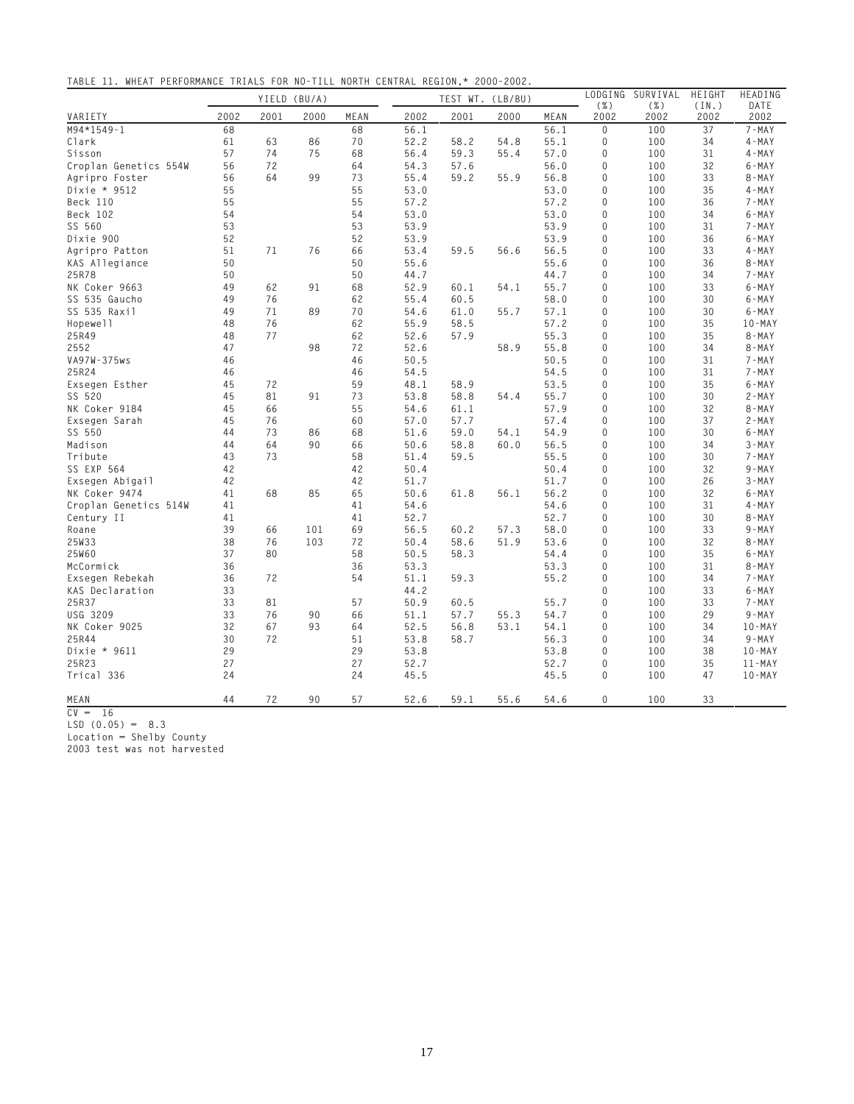**TABLE 11. WHEAT PERFORMANCE TRIALS FOR NO-TILL NORTH CENTRAL REGION,\* 2000-2002.**

|                       |      | YIELD (BU/A) |      |      |      | TEST WT. (LB/BU) |      |      |              | LODGING SURVIVAL | HEIGHT        | HEADING           |
|-----------------------|------|--------------|------|------|------|------------------|------|------|--------------|------------------|---------------|-------------------|
| VARIETY               | 2002 | 2001         | 2000 | MEAN | 2002 | 2001             | 2000 | MEAN | ( %)<br>2002 | $(\%)$<br>2002   | (IN.)<br>2002 | DATE<br>2002      |
| M94*1549-1            | 68   |              |      | 68   | 56.1 |                  |      | 56.1 | $\Omega$     | 100              | 37            | $7 - MAX$         |
| Clark                 | 61   | 63           | 86   | 70   | 52.2 | 58.2             | 54.8 | 55.1 | $\mathbf 0$  | 100              | 34            | $4 - MAX$         |
| Sisson                | 57   | 74           | 75   | 68   | 56.4 | 59.3             | 55.4 | 57.0 | $\mathbf 0$  | 100              | 31            | $4 - MAX$         |
| Croplan Genetics 554W | 56   | 72           |      | 64   | 54.3 | 57.6             |      | 56.0 | 0            | 100              | 32            | $6 - MAX$         |
| Agripro Foster        | 56   | 64           | 99   | 73   | 55.4 | 59.2             | 55.9 | 56.8 | $\mathbf 0$  | 100              | 33            | $8 - MAX$         |
| Dixie * 9512          | 55   |              |      | 55   | 53.0 |                  |      | 53.0 | $\mathbf 0$  | 100              | 35            | $4 - MAX$         |
| Beck 110              | 55   |              |      | 55   | 57.2 |                  |      | 57.2 | $\mathbf 0$  | 100              | 36            | $7 - MAX$         |
| Beck 102              | 54   |              |      | 54   | 53.0 |                  |      | 53.0 | $\mathbf 0$  | 100              | 34            | $6 - MAX$         |
| SS 560                | 53   |              |      | 53   | 53.9 |                  |      | 53.9 | $\mathbf 0$  | 100              | 31            | 7-MAY             |
| Dixie 900             | 52   |              |      | 52   | 53.9 |                  |      | 53.9 | $\mathbf 0$  | 100              | 36            | $6 - MAX$         |
| Agripro Patton        | 51   | 71           | 76   | 66   | 53.4 | 59.5             | 56.6 | 56.5 | $\Omega$     | 100              | 33            | $4 - MAX$         |
| KAS Allegiance        | 50   |              |      | 50   | 55.6 |                  |      | 55.6 | $\mathbf 0$  | 100              | 36            | $8 - MAX$         |
| 25R78                 | 50   |              |      | 50   | 44.7 |                  |      | 44.7 | $\mathbf 0$  | 100              | 34            | $7 - MAX$         |
| NK Coker 9663         | 49   | 62           | 91   | 68   | 52.9 | 60.1             | 54.1 | 55.7 | 0            | 100              | 33            | $6 - MAX$         |
| SS 535 Gaucho         | 49   | 76           |      | 62   | 55.4 | 60.5             |      | 58.0 | 0            | 100              | 30            | $6 - MAX$         |
| SS 535 Raxil          | 49   | 71           | 89   | 70   | 54.6 | 61.0             | 55.7 | 57.1 | 0            | 100              | 30            | $6 - MAX$         |
| Hopewell              | 48   | 76           |      | 62   | 55.9 | 58.5             |      | 57.2 | $\mathbf 0$  | 100              | 35            | $10 - MAX$        |
| 25R49                 | 48   | 77           |      | 62   | 52.6 | 57.9             |      | 55.3 | $\Omega$     | 100              | 35            | $8 - MAX$         |
| 2552                  | 47   |              | 98   | 72   | 52.6 |                  | 58.9 | 55.8 | $\Omega$     | 100              | 34            | $8 - MAX$         |
| VA97W-375ws           | 46   |              |      | 46   | 50.5 |                  |      | 50.5 | $\mathbf 0$  | 100              | 31            | $7 - MAX$         |
| 25R24                 | 46   |              |      | 46   | 54.5 |                  |      | 54.5 | 0            | 100              | 31            | $7 - MAX$         |
| Exsegen Esther        | 45   | 72           |      | 59   | 48.1 | 58.9             |      | 53.5 | $\mathbf 0$  | 100              | 35            | $6 - MAX$         |
| SS 520                | 45   | 81           | 91   | 73   | 53.8 | 58.8             | 54.4 | 55.7 | $\mathbf 0$  | 100              | 30            | $2 - MAX$         |
| NK Coker 9184         | 45   | 66           |      | 55   | 54.6 | 61.1             |      | 57.9 | $\mathbf 0$  | 100              | 32            | $8 - MAX$         |
| Exsegen Sarah         | 45   | 76           |      | 60   | 57.0 | 57.7             |      | 57.4 | $\mathbf 0$  | 100              | 37            | $2 - MAX$         |
| SS 550                | 44   | 73           | 86   | 68   | 51.6 | 59.0             | 54.1 | 54.9 | $\mathbf 0$  | 100              | 30            | $6 - MAX$         |
| Madison               | 44   | 64           | 90   | 66   | 50.6 | 58.8             | 60.0 | 56.5 | $\mathbf 0$  | 100              | 34            | $3 - MAX$         |
| Tribute               | 43   | 73           |      | 58   | 51.4 | 59.5             |      | 55.5 | $\Omega$     | 100              | 30            | $7 - MAX$         |
| SS EXP 564            | 42   |              |      | 42   | 50.4 |                  |      | 50.4 | $\mathbf 0$  | 100              | 32            | $9 - MAX$         |
| Exsegen Abigail       | 42   |              |      | 42   | 51.7 |                  |      | 51.7 | $\mathbf 0$  | 100              | 26            | $3 - MAX$         |
| NK Coker 9474         | 41   | 68           | 85   | 65   | 50.6 | 61.8             | 56.1 | 56.2 | $\mathbf 0$  | 100              | 32            | $6 - MAX$         |
| Croplan Genetics 514W | 41   |              |      | 41   | 54.6 |                  |      | 54.6 | 0            | 100              | 31            | $4 - MAX$         |
| Century II            | 41   |              |      | 41   | 52.7 |                  |      | 52.7 | $\mathbf 0$  | 100              | 30            | $8 - MAX$         |
| Roane                 | 39   | 66           | 101  | 69   | 56.5 | 60.2             | 57.3 | 58.0 | 0            | 100              | 33            | $9 - MAX$         |
| 25W33                 | 38   | 76           | 103  | 72   | 50.4 | 58.6             | 51.9 | 53.6 | $\Omega$     | 100              | 32            | $8 - MAX$         |
| 25W60                 | 37   | 80           |      | 58   | 50.5 | 58.3             |      | 54.4 | 0            | 100              | 35            | $6 - MAX$         |
| McCormick             | 36   |              |      | 36   | 53.3 |                  |      | 53.3 | $\mathbf 0$  | 100              | 31            | $8 - MAX$         |
| Exsegen Rebekah       | 36   | 72           |      | 54   | 51.1 | 59.3             |      | 55.2 | $\mathbf 0$  | 100              | 34            | 7-MAY             |
| KAS Declaration       | 33   |              |      |      | 44.2 |                  |      |      | $\mathbf 0$  | 100              | 33            | $6 - MAX$         |
| 25R37                 | 33   | 81           |      | 57   | 50.9 | 60.5             |      | 55.7 | $\mathbf 0$  | 100              | 33            | $7 - MAX$         |
| USG 3209              | 33   | 76           | 90   | 66   | 51.1 | 57.7             | 55.3 | 54.7 | $\mathbf 0$  | 100              | 29            | $9 - MAX$         |
| NK Coker 9025         | 32   | 67           | 93   | 64   | 52.5 | 56.8             | 53.1 | 54.1 | $\mathbf 0$  | 100              | 34            | $10 - \text{MAY}$ |
| 25R44                 | 30   | 72           |      | 51   | 53.8 | 58.7             |      | 56.3 | $\mathbf 0$  | 100              | 34            | $9 - MAX$         |
| Dixie * 9611          | 29   |              |      | 29   | 53.8 |                  |      | 53.8 | 0            | 100              | 38            | $10 - MAX$        |
| 25R23                 | 27   |              |      | 27   | 52.7 |                  |      | 52.7 | 0            | 100              | 35            | $11 - MAX$        |
| Trical 336            | 24   |              |      | 24   | 45.5 |                  |      | 45.5 | 0            | 100              | 47            | $10 - MAX$        |
| MEAN                  | 44   | 72           | 90   | 57   | 52.6 | 59.1             | 55.6 | 54.6 | 0            | 100              | 33            |                   |

**CV = 16 LSD (0.05) = 8.3**

**Location = Shelby County**

**2003 test was not harvested**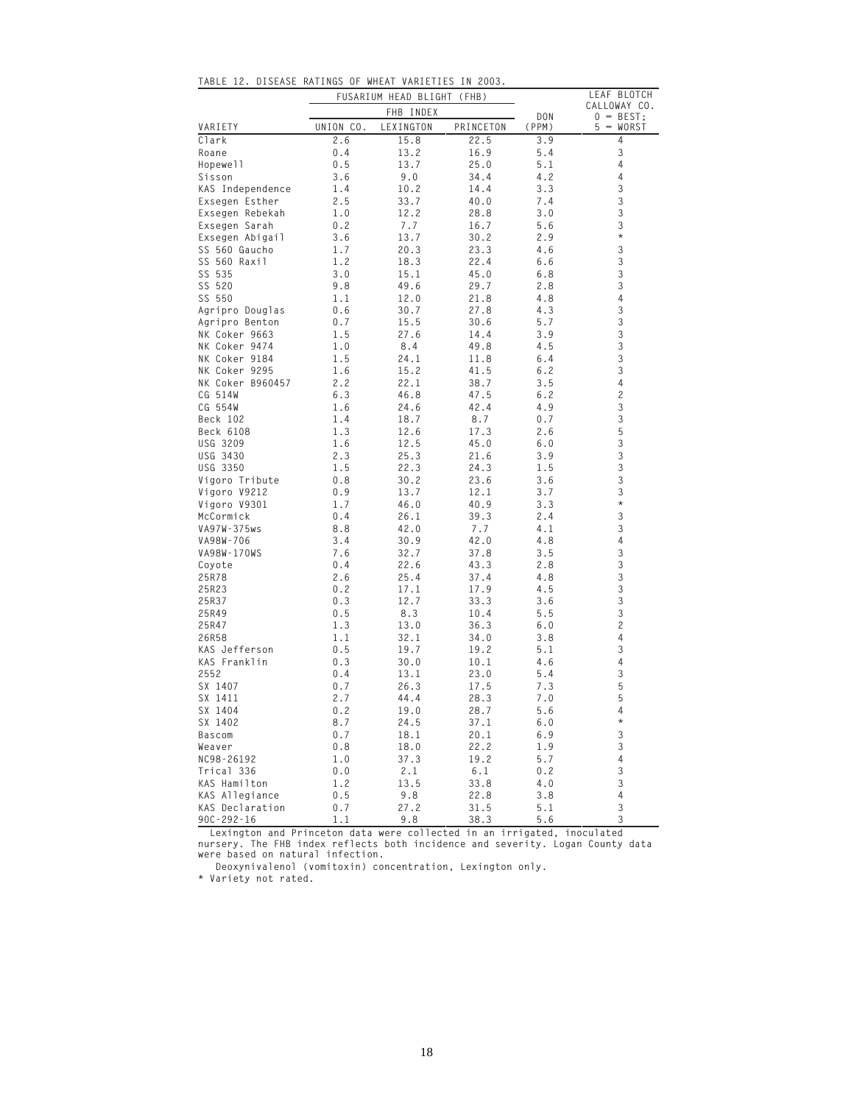| UISEASE                      |            | KAIINGS UF WHEAT VAKIETIES |              | LEAF BLOTCH |                           |
|------------------------------|------------|----------------------------|--------------|-------------|---------------------------|
|                              |            | FUSARIUM HEAD BLIGHT (FHB) |              |             | CALLOWAY CO.              |
|                              |            | FHB INDEX                  |              | DON         | $0 = BEST;$               |
| VARIETY                      | UNION CO.  | LEXINGTON                  | PRINCETON    | (PPM)       | $5 = WORST$               |
| Clark<br>Roane               | 2.6        | 15.8                       | 22.5         | 3.9         | 4<br>3                    |
|                              | 0.4        | 13.2                       | 16.9         | 5.4         | 4                         |
| Hopewell                     | 0.5        | 13.7                       | 25.0         | 5.1         | $\overline{4}$            |
| Sisson                       | 3.6        | 9.0                        | 34.4         | 4.2         |                           |
| KAS Independence             | 1.4        | 10.2                       | 14.4         | 3.3         | 3                         |
| Exsegen Esther               | 2.5        | 33.7                       | 40.0         | 7.4         | 3                         |
| Exsegen Rebekah              | 1.0        | 12.2                       | 28.8         | 3.0         | 3<br>3                    |
| Exsegen Sarah                | 0.2        | 7.7                        | 16.7         | 5.6         | $^{\star}$                |
| Exsegen Abigail              | 3.6        | 13.7                       | 30.2         | 2.9         | 3                         |
| SS 560 Gaucho                | 1.7        | 20.3                       | 23.3         | 4.6         |                           |
| SS 560 Raxil                 | 1.2        | 18.3                       | 22.4         | 6.6         | 3                         |
| SS 535                       | 3.0        | 15.1                       | 45.0         | 6.8         | 3<br>3                    |
| SS 520                       | 9.8        | 49.6                       | 29.7         | 2.8         | 4                         |
| SS 550                       | 1.1        | 12.0                       | 21.8         | 4.8         | 3                         |
| Agripro Douglas              | 0.6        | 30.7                       | 27.8         | 4.3         |                           |
| Agripro Benton               | 0.7        | 15.5                       | 30.6         | 5.7         | 3<br>3                    |
| NK Coker 9663                | 1.5        | 27.6                       | 14.4         | 3.9         |                           |
| NK Coker 9474                | 1.0        | 8.4                        | 49.8         | 4.5         | 3                         |
| NK Coker 9184                | 1.5        | 24.1                       | 11.8         | 6.4         | 3                         |
| NK Coker 9295                | 1.6        | 15.2                       | 41.5         | 6.2         | 3                         |
| NK Coker B960457             | 2.2        | 22.1                       | 38.7         | 3.5         | 4                         |
| CG 514W                      | 6.3        | 46.8                       | 47.5         | 6.2         | $\overline{c}$            |
| CG 554W                      | 1.6        | 24.6                       | 42.4         | 4.9         | 3                         |
| Beck 102                     | 1.4        | 18.7                       | 8.7          | 0.7         | 3                         |
| Beck 6108                    | 1.3        | 12.6                       | 17.3         | 2.6         | 5                         |
| USG 3209                     | 1.6        | 12.5                       | 45.0         | 6.0         | 3                         |
| USG 3430                     | 2.3        | 25.3                       | 21.6         | 3.9         | 3<br>3                    |
| USG 3350                     | 1.5        | 22.3                       | 24.3         | 1.5         |                           |
| Vigoro Tribute               | 0.8<br>0.9 | 30.2                       | 23.6         | 3.6<br>3.7  | 3<br>3                    |
| Vigoro V9212<br>Vigoro V9301 | 1.7        | 13.7<br>46.0               | 12.1         | 3.3         | $\star$                   |
| McCormick                    | 0.4        | 26.1                       | 40.9<br>39.3 | 2.4         | 3                         |
| VA97W-375ws                  | 8.8        | 42.0                       | 7.7          | 4.1         | 3                         |
| VA98W-706                    | 3.4        | 30.9                       | 42.0         | 4.8         | 4                         |
| VA98W-170WS                  | 7.6        | 32.7                       | 37.8         | 3.5         | 3                         |
| Coyote                       | 0.4        | 22.6                       | 43.3         | 2.8         | 3                         |
| 25R78                        | 2.6        | 25.4                       | 37.4         | 4.8         | 3                         |
| 25R23                        | 0.2        | 17.1                       | 17.9         | 4.5         | 3                         |
| 25R37                        | 0.3        | 12.7                       | 33.3         | 3.6         | 3                         |
| 25R49                        | 0.5        | 8.3                        | 10.4         | 5.5         | 3                         |
| 25R47                        | 1.3        | 13.0                       | 36.3         | 6.0         | $\overline{c}$            |
| 26R58                        | 1.1        | 32.1                       | 34.0         | 3.8         | 4                         |
| KAS Jefferson                | 0.5        | 19.7                       | 19.2         | 5.1         | 3                         |
| KAS Franklin                 | 0.3        | 30.0                       | 10.1         | 4.6         | 4                         |
| 2552                         | 0.4        | 13.1                       | 23.0         | 5.4         | 3                         |
| SX 1407                      | 0.7        | 26.3                       | 17.5         | 7.3         | 5                         |
| SX 1411                      | 2.7        | 44.4                       | 28.3         | 7.0         | 5                         |
| SX 1404                      | 0.2        | 19.0                       | 28.7         | 5.6         | 4                         |
| SX 1402                      | 8.7        | 24.5                       | 37.1         | 6.0         | $^{\star}$                |
| Bascom                       | $0.7\,$    | 18.1                       | 20.1         | 6.9         | $\mathfrak{Z}$            |
| Weaver                       | 0.8        | 18.0                       | 22.2         | 1.9         | 3                         |
| NC98-26192                   | 1.0        | 37.3                       | 19.2         | 5.7         | $\overline{4}$            |
| Trical 336                   | 0.0        | 2.1                        | 6.1          | 0.2         | $\ensuremath{\mathsf{3}}$ |
| KAS Hamilton                 | 1.2        | 13.5                       | 33.8         | 4.0         | $\ensuremath{\mathsf{3}}$ |
| KAS Allegiance               | 0.5        | 9.8                        | 22.8         | 3.8         | $\overline{4}$            |
| KAS Declaration              | 0.7        | 27.2                       | 31.5         | 5.1         | $\ensuremath{\mathsf{3}}$ |
| $90C - 292 - 16$             | 1.1        | 9.8                        | 38.3         | 5.6         | 3                         |

**TABLE 12. DISEASE RATINGS OF WHEAT VARIETIES IN 2003.**

 **Lexington and Princeton data were collected in an irrigated, inoculated nursery. The FHB index reflects both incidence and severity. Logan County data were based on natural infection.**

 **Deoxynivalenol (vomitoxin) concentration, Lexington only.** 

**\* Variety not rated.**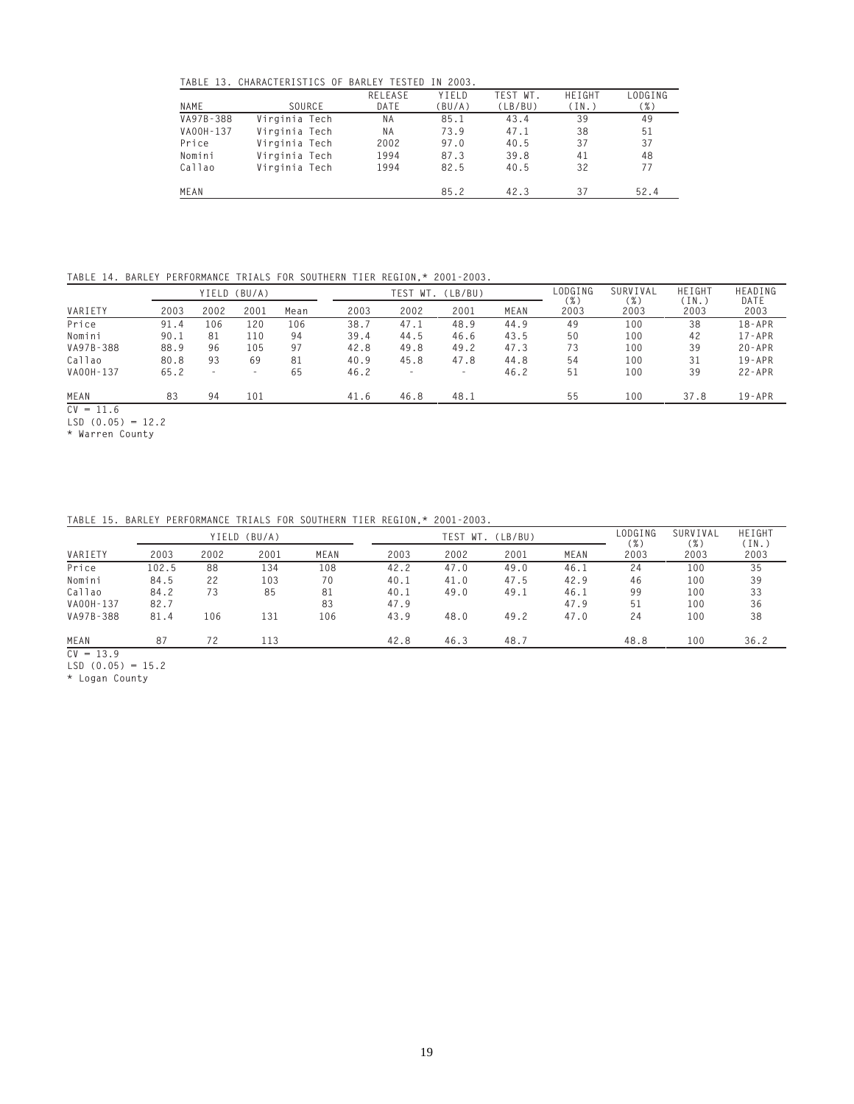**TABLE 13. CHARACTERISTICS OF BARLEY TESTED IN 2003.**

|           | TABLE 13. UMAKAUTERISTIUS UF BAKLET TESTED |         | IN ZUUS. |          |        |         |
|-----------|--------------------------------------------|---------|----------|----------|--------|---------|
|           |                                            | RELEASE | YIELD    | TEST WT. | HEIGHT | LODGING |
| NAME      | SOURCE                                     | DATE    | (BU/A)   | (LB/BU)  | (IN.)  | $(\%)$  |
| VA97B-388 | Virginia Tech                              | ΝA      | 85.1     | 43.4     | 39     | 49      |
| VA00H-137 | Virginia Tech                              | ΝA      | 73.9     | 47.1     | 38     | 51      |
| Price     | Virginia Tech                              | 2002    | 97.0     | 40.5     | 37     | 37      |
| Nomini    | Virginia Tech                              | 1994    | 87.3     | 39.8     | 41     | 48      |
| Callao    | Virginia Tech                              | 1994    | 82.5     | 40.5     | 32     | 77      |
| MEAN      |                                            |         | 85.2     | 42.3     | 37     | 52.4    |
|           |                                            |         |          |          |        |         |

**TABLE 14. BARLEY PERFORMANCE TRIALS FOR SOUTHERN TIER REGION,\* 2001-2003.**

|           |      |                          | YIELD (BU/A)             |      |      | TEST<br>WT. | (LB/BU)                  |      | LODGING      | SURVIVAL     | HEIGHT        | HEADING      |
|-----------|------|--------------------------|--------------------------|------|------|-------------|--------------------------|------|--------------|--------------|---------------|--------------|
| VARIETY   | 2003 | 2002                     | 2001                     | Mean | 2003 | 2002        | 2001                     | MEAN | ( %)<br>2003 | (96)<br>2003 | (IN.)<br>2003 | DATE<br>2003 |
| Price     | 91.4 | 106                      | 120                      | 106  | 38.7 | 47.1        | 48.9                     | 44.9 | 49           | 100          | 38            | 18-APR       |
| Nomini    | 90.1 | 81                       | 110                      | 94   | 39.4 | 44.5        | 46.6                     | 43.5 | 50           | 100          | 42            | $17 - APR$   |
| VA97B-388 | 88.9 | 96                       | 105                      | 97   | 42.8 | 49.8        | 49.2                     | 47.3 | 73           | 100          | 39            | $20 - APR$   |
| Callao    | 80.8 | 93                       | 69                       | 81   | 40.9 | 45.8        | 47.8                     | 44.8 | 54           | 100          | 31            | $19 - APR$   |
| VA00H-137 | 65.2 | $\overline{\phantom{0}}$ | $\overline{\phantom{a}}$ | 65   | 46.2 |             | $\overline{\phantom{a}}$ | 46.2 | 51           | 100          | 39            | $22 - APR$   |
| MEAN      | 83   | 94                       | 101                      |      | 41.6 | 46.8        | 48.1                     |      | 55           | 100          | 37.8          | $19 - APR$   |

**CV = 11.6**

**LSD (0.05) = 12.2 \* Warren County**

**TABLE 15. BARLEY PERFORMANCE TRIALS FOR SOUTHERN TIER REGION,\* 2001-2003.**

|           |       |      | YIELD (BU/A) |      |      |      | TEST WT. (LB/BU) | LODGING<br>( %) | SURVIVAL<br>$( \% )$ | HEIGHT<br>(IN.) |      |
|-----------|-------|------|--------------|------|------|------|------------------|-----------------|----------------------|-----------------|------|
| VARIETY   | 2003  | 2002 | 2001         | MEAN | 2003 | 2002 | 2001             | MEAN            | 2003                 | 2003            | 2003 |
| Price     | 102.5 | 88   | 134          | 108  | 42.2 | 47.0 | 49.0             | 46.1            | 24                   | 100             | 35   |
| Nomini    | 84.5  | 22   | 103          | 70   | 40.1 | 41.0 | 47.5             | 42.9            | 46                   | 100             | 39   |
| Callao    | 84.2  | 73   | 85           | 81   | 40.1 | 49.0 | 49.1             | 46.1            | 99                   | 100             | 33   |
| VA00H-137 | 82.7  |      |              | 83   | 47.9 |      |                  | 47.9            | 51                   | 100             | 36   |
| VA97B-388 | 81.4  | 106  | 131          | 106  | 43.9 | 48.0 | 49.2             | 47.0            | 24                   | 100             | 38   |
| MEAN      | 87    | 72   | 113          |      | 42.8 | 46.3 | 48.7             |                 | 48.8                 | 100             | 36.2 |

**CV = 13.9**

**LSD (0.05) = 15.2**

**\* Logan County**